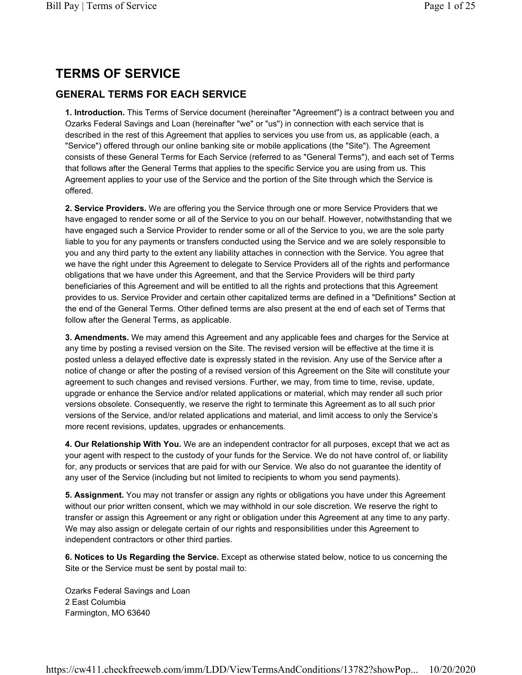# TERMS OF SERVICE

# GENERAL TERMS FOR EACH SERVICE

1. Introduction. This Terms of Service document (hereinafter "Agreement") is a contract between you and Ozarks Federal Savings and Loan (hereinafter "we" or "us") in connection with each service that is described in the rest of this Agreement that applies to services you use from us, as applicable (each, a "Service") offered through our online banking site or mobile applications (the "Site"). The Agreement consists of these General Terms for Each Service (referred to as "General Terms"), and each set of Terms that follows after the General Terms that applies to the specific Service you are using from us. This Agreement applies to your use of the Service and the portion of the Site through which the Service is offered.

2. Service Providers. We are offering you the Service through one or more Service Providers that we have engaged to render some or all of the Service to you on our behalf. However, notwithstanding that we have engaged such a Service Provider to render some or all of the Service to you, we are the sole party liable to you for any payments or transfers conducted using the Service and we are solely responsible to you and any third party to the extent any liability attaches in connection with the Service. You agree that we have the right under this Agreement to delegate to Service Providers all of the rights and performance obligations that we have under this Agreement, and that the Service Providers will be third party beneficiaries of this Agreement and will be entitled to all the rights and protections that this Agreement provides to us. Service Provider and certain other capitalized terms are defined in a "Definitions" Section at the end of the General Terms. Other defined terms are also present at the end of each set of Terms that follow after the General Terms, as applicable.

3. Amendments. We may amend this Agreement and any applicable fees and charges for the Service at any time by posting a revised version on the Site. The revised version will be effective at the time it is posted unless a delayed effective date is expressly stated in the revision. Any use of the Service after a notice of change or after the posting of a revised version of this Agreement on the Site will constitute your agreement to such changes and revised versions. Further, we may, from time to time, revise, update, upgrade or enhance the Service and/or related applications or material, which may render all such prior versions obsolete. Consequently, we reserve the right to terminate this Agreement as to all such prior versions of the Service, and/or related applications and material, and limit access to only the Service's more recent revisions, updates, upgrades or enhancements.

4. Our Relationship With You. We are an independent contractor for all purposes, except that we act as your agent with respect to the custody of your funds for the Service. We do not have control of, or liability for, any products or services that are paid for with our Service. We also do not guarantee the identity of any user of the Service (including but not limited to recipients to whom you send payments).

5. Assignment. You may not transfer or assign any rights or obligations you have under this Agreement without our prior written consent, which we may withhold in our sole discretion. We reserve the right to transfer or assign this Agreement or any right or obligation under this Agreement at any time to any party. We may also assign or delegate certain of our rights and responsibilities under this Agreement to independent contractors or other third parties.

6. Notices to Us Regarding the Service. Except as otherwise stated below, notice to us concerning the Site or the Service must be sent by postal mail to:

Ozarks Federal Savings and Loan 2 East Columbia Farmington, MO 63640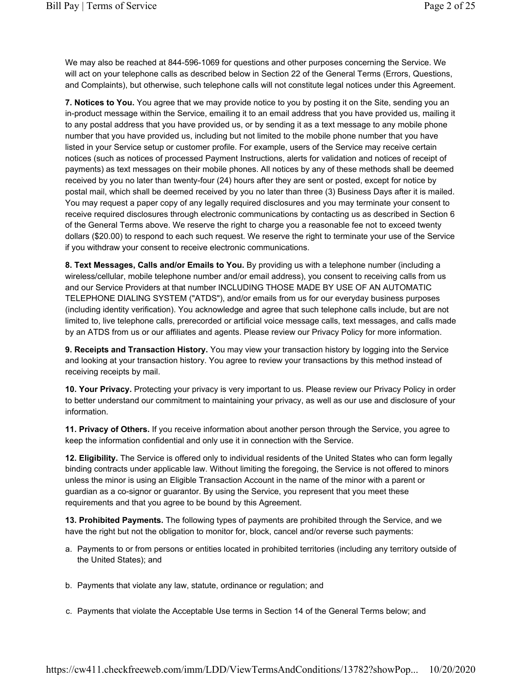We may also be reached at 844-596-1069 for questions and other purposes concerning the Service. We will act on your telephone calls as described below in Section 22 of the General Terms (Errors, Questions, and Complaints), but otherwise, such telephone calls will not constitute legal notices under this Agreement.

7. Notices to You. You agree that we may provide notice to you by posting it on the Site, sending you an in-product message within the Service, emailing it to an email address that you have provided us, mailing it to any postal address that you have provided us, or by sending it as a text message to any mobile phone number that you have provided us, including but not limited to the mobile phone number that you have listed in your Service setup or customer profile. For example, users of the Service may receive certain notices (such as notices of processed Payment Instructions, alerts for validation and notices of receipt of payments) as text messages on their mobile phones. All notices by any of these methods shall be deemed received by you no later than twenty-four (24) hours after they are sent or posted, except for notice by postal mail, which shall be deemed received by you no later than three (3) Business Days after it is mailed. You may request a paper copy of any legally required disclosures and you may terminate your consent to receive required disclosures through electronic communications by contacting us as described in Section 6 of the General Terms above. We reserve the right to charge you a reasonable fee not to exceed twenty dollars (\$20.00) to respond to each such request. We reserve the right to terminate your use of the Service if you withdraw your consent to receive electronic communications.

8. Text Messages, Calls and/or Emails to You. By providing us with a telephone number (including a wireless/cellular, mobile telephone number and/or email address), you consent to receiving calls from us and our Service Providers at that number INCLUDING THOSE MADE BY USE OF AN AUTOMATIC TELEPHONE DIALING SYSTEM ("ATDS"), and/or emails from us for our everyday business purposes (including identity verification). You acknowledge and agree that such telephone calls include, but are not limited to, live telephone calls, prerecorded or artificial voice message calls, text messages, and calls made by an ATDS from us or our affiliates and agents. Please review our Privacy Policy for more information.

9. Receipts and Transaction History. You may view your transaction history by logging into the Service and looking at your transaction history. You agree to review your transactions by this method instead of receiving receipts by mail.

10. Your Privacy. Protecting your privacy is very important to us. Please review our Privacy Policy in order to better understand our commitment to maintaining your privacy, as well as our use and disclosure of your information.

11. Privacy of Others. If you receive information about another person through the Service, you agree to keep the information confidential and only use it in connection with the Service.

12. Eligibility. The Service is offered only to individual residents of the United States who can form legally binding contracts under applicable law. Without limiting the foregoing, the Service is not offered to minors unless the minor is using an Eligible Transaction Account in the name of the minor with a parent or guardian as a co-signor or guarantor. By using the Service, you represent that you meet these requirements and that you agree to be bound by this Agreement.

13. Prohibited Payments. The following types of payments are prohibited through the Service, and we have the right but not the obligation to monitor for, block, cancel and/or reverse such payments:

- a. Payments to or from persons or entities located in prohibited territories (including any territory outside of the United States); and
- b. Payments that violate any law, statute, ordinance or regulation; and
- c. Payments that violate the Acceptable Use terms in Section 14 of the General Terms below; and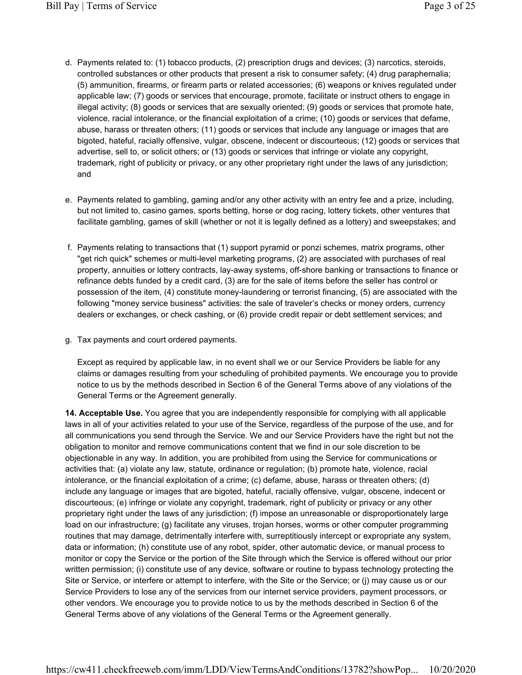- d. Payments related to: (1) tobacco products, (2) prescription drugs and devices; (3) narcotics, steroids, controlled substances or other products that present a risk to consumer safety; (4) drug paraphernalia; (5) ammunition, firearms, or firearm parts or related accessories; (6) weapons or knives regulated under applicable law; (7) goods or services that encourage, promote, facilitate or instruct others to engage in illegal activity; (8) goods or services that are sexually oriented; (9) goods or services that promote hate, violence, racial intolerance, or the financial exploitation of a crime; (10) goods or services that defame, abuse, harass or threaten others; (11) goods or services that include any language or images that are bigoted, hateful, racially offensive, vulgar, obscene, indecent or discourteous; (12) goods or services that advertise, sell to, or solicit others; or (13) goods or services that infringe or violate any copyright, trademark, right of publicity or privacy, or any other proprietary right under the laws of any jurisdiction; and
- e. Payments related to gambling, gaming and/or any other activity with an entry fee and a prize, including, but not limited to, casino games, sports betting, horse or dog racing, lottery tickets, other ventures that facilitate gambling, games of skill (whether or not it is legally defined as a lottery) and sweepstakes; and
- f. Payments relating to transactions that (1) support pyramid or ponzi schemes, matrix programs, other "get rich quick" schemes or multi-level marketing programs, (2) are associated with purchases of real property, annuities or lottery contracts, lay-away systems, off-shore banking or transactions to finance or refinance debts funded by a credit card, (3) are for the sale of items before the seller has control or possession of the item, (4) constitute money-laundering or terrorist financing, (5) are associated with the following "money service business" activities: the sale of traveler's checks or money orders, currency dealers or exchanges, or check cashing, or (6) provide credit repair or debt settlement services; and
- g. Tax payments and court ordered payments.

Except as required by applicable law, in no event shall we or our Service Providers be liable for any claims or damages resulting from your scheduling of prohibited payments. We encourage you to provide notice to us by the methods described in Section 6 of the General Terms above of any violations of the General Terms or the Agreement generally.

14. Acceptable Use. You agree that you are independently responsible for complying with all applicable laws in all of your activities related to your use of the Service, regardless of the purpose of the use, and for all communications you send through the Service. We and our Service Providers have the right but not the obligation to monitor and remove communications content that we find in our sole discretion to be objectionable in any way. In addition, you are prohibited from using the Service for communications or activities that: (a) violate any law, statute, ordinance or regulation; (b) promote hate, violence, racial intolerance, or the financial exploitation of a crime; (c) defame, abuse, harass or threaten others; (d) include any language or images that are bigoted, hateful, racially offensive, vulgar, obscene, indecent or discourteous; (e) infringe or violate any copyright, trademark, right of publicity or privacy or any other proprietary right under the laws of any jurisdiction; (f) impose an unreasonable or disproportionately large load on our infrastructure; (g) facilitate any viruses, trojan horses, worms or other computer programming routines that may damage, detrimentally interfere with, surreptitiously intercept or expropriate any system, data or information; (h) constitute use of any robot, spider, other automatic device, or manual process to monitor or copy the Service or the portion of the Site through which the Service is offered without our prior written permission; (i) constitute use of any device, software or routine to bypass technology protecting the Site or Service, or interfere or attempt to interfere, with the Site or the Service; or (j) may cause us or our Service Providers to lose any of the services from our internet service providers, payment processors, or other vendors. We encourage you to provide notice to us by the methods described in Section 6 of the General Terms above of any violations of the General Terms or the Agreement generally.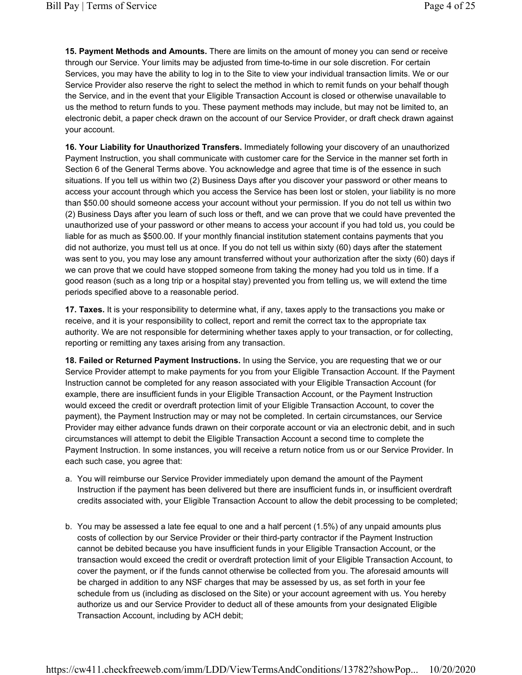15. Payment Methods and Amounts. There are limits on the amount of money you can send or receive through our Service. Your limits may be adjusted from time-to-time in our sole discretion. For certain Services, you may have the ability to log in to the Site to view your individual transaction limits. We or our Service Provider also reserve the right to select the method in which to remit funds on your behalf though the Service, and in the event that your Eligible Transaction Account is closed or otherwise unavailable to us the method to return funds to you. These payment methods may include, but may not be limited to, an electronic debit, a paper check drawn on the account of our Service Provider, or draft check drawn against your account.

16. Your Liability for Unauthorized Transfers. Immediately following your discovery of an unauthorized Payment Instruction, you shall communicate with customer care for the Service in the manner set forth in Section 6 of the General Terms above. You acknowledge and agree that time is of the essence in such situations. If you tell us within two (2) Business Days after you discover your password or other means to access your account through which you access the Service has been lost or stolen, your liability is no more than \$50.00 should someone access your account without your permission. If you do not tell us within two (2) Business Days after you learn of such loss or theft, and we can prove that we could have prevented the unauthorized use of your password or other means to access your account if you had told us, you could be liable for as much as \$500.00. If your monthly financial institution statement contains payments that you did not authorize, you must tell us at once. If you do not tell us within sixty (60) days after the statement was sent to you, you may lose any amount transferred without your authorization after the sixty (60) days if we can prove that we could have stopped someone from taking the money had you told us in time. If a good reason (such as a long trip or a hospital stay) prevented you from telling us, we will extend the time periods specified above to a reasonable period.

17. Taxes. It is your responsibility to determine what, if any, taxes apply to the transactions you make or receive, and it is your responsibility to collect, report and remit the correct tax to the appropriate tax authority. We are not responsible for determining whether taxes apply to your transaction, or for collecting, reporting or remitting any taxes arising from any transaction.

18. Failed or Returned Payment Instructions. In using the Service, you are requesting that we or our Service Provider attempt to make payments for you from your Eligible Transaction Account. If the Payment Instruction cannot be completed for any reason associated with your Eligible Transaction Account (for example, there are insufficient funds in your Eligible Transaction Account, or the Payment Instruction would exceed the credit or overdraft protection limit of your Eligible Transaction Account, to cover the payment), the Payment Instruction may or may not be completed. In certain circumstances, our Service Provider may either advance funds drawn on their corporate account or via an electronic debit, and in such circumstances will attempt to debit the Eligible Transaction Account a second time to complete the Payment Instruction. In some instances, you will receive a return notice from us or our Service Provider. In each such case, you agree that:

- a. You will reimburse our Service Provider immediately upon demand the amount of the Payment Instruction if the payment has been delivered but there are insufficient funds in, or insufficient overdraft credits associated with, your Eligible Transaction Account to allow the debit processing to be completed;
- b. You may be assessed a late fee equal to one and a half percent (1.5%) of any unpaid amounts plus costs of collection by our Service Provider or their third-party contractor if the Payment Instruction cannot be debited because you have insufficient funds in your Eligible Transaction Account, or the transaction would exceed the credit or overdraft protection limit of your Eligible Transaction Account, to cover the payment, or if the funds cannot otherwise be collected from you. The aforesaid amounts will be charged in addition to any NSF charges that may be assessed by us, as set forth in your fee schedule from us (including as disclosed on the Site) or your account agreement with us. You hereby authorize us and our Service Provider to deduct all of these amounts from your designated Eligible Transaction Account, including by ACH debit;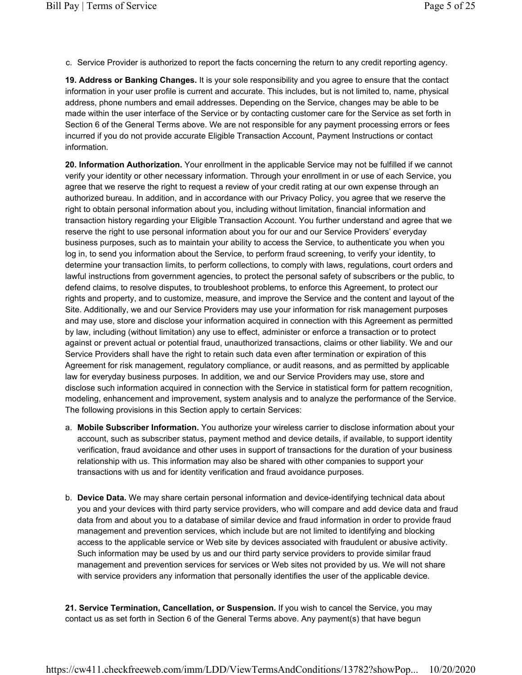c. Service Provider is authorized to report the facts concerning the return to any credit reporting agency.

19. Address or Banking Changes. It is your sole responsibility and you agree to ensure that the contact information in your user profile is current and accurate. This includes, but is not limited to, name, physical address, phone numbers and email addresses. Depending on the Service, changes may be able to be made within the user interface of the Service or by contacting customer care for the Service as set forth in Section 6 of the General Terms above. We are not responsible for any payment processing errors or fees incurred if you do not provide accurate Eligible Transaction Account, Payment Instructions or contact information.

20. Information Authorization. Your enrollment in the applicable Service may not be fulfilled if we cannot verify your identity or other necessary information. Through your enrollment in or use of each Service, you agree that we reserve the right to request a review of your credit rating at our own expense through an authorized bureau. In addition, and in accordance with our Privacy Policy, you agree that we reserve the right to obtain personal information about you, including without limitation, financial information and transaction history regarding your Eligible Transaction Account. You further understand and agree that we reserve the right to use personal information about you for our and our Service Providers' everyday business purposes, such as to maintain your ability to access the Service, to authenticate you when you log in, to send you information about the Service, to perform fraud screening, to verify your identity, to determine your transaction limits, to perform collections, to comply with laws, regulations, court orders and lawful instructions from government agencies, to protect the personal safety of subscribers or the public, to defend claims, to resolve disputes, to troubleshoot problems, to enforce this Agreement, to protect our rights and property, and to customize, measure, and improve the Service and the content and layout of the Site. Additionally, we and our Service Providers may use your information for risk management purposes and may use, store and disclose your information acquired in connection with this Agreement as permitted by law, including (without limitation) any use to effect, administer or enforce a transaction or to protect against or prevent actual or potential fraud, unauthorized transactions, claims or other liability. We and our Service Providers shall have the right to retain such data even after termination or expiration of this Agreement for risk management, regulatory compliance, or audit reasons, and as permitted by applicable law for everyday business purposes. In addition, we and our Service Providers may use, store and disclose such information acquired in connection with the Service in statistical form for pattern recognition, modeling, enhancement and improvement, system analysis and to analyze the performance of the Service. The following provisions in this Section apply to certain Services:

- a. Mobile Subscriber Information. You authorize your wireless carrier to disclose information about your account, such as subscriber status, payment method and device details, if available, to support identity verification, fraud avoidance and other uses in support of transactions for the duration of your business relationship with us. This information may also be shared with other companies to support your transactions with us and for identity verification and fraud avoidance purposes.
- b. Device Data. We may share certain personal information and device-identifying technical data about you and your devices with third party service providers, who will compare and add device data and fraud data from and about you to a database of similar device and fraud information in order to provide fraud management and prevention services, which include but are not limited to identifying and blocking access to the applicable service or Web site by devices associated with fraudulent or abusive activity. Such information may be used by us and our third party service providers to provide similar fraud management and prevention services for services or Web sites not provided by us. We will not share with service providers any information that personally identifies the user of the applicable device.

21. Service Termination, Cancellation, or Suspension. If you wish to cancel the Service, you may contact us as set forth in Section 6 of the General Terms above. Any payment(s) that have begun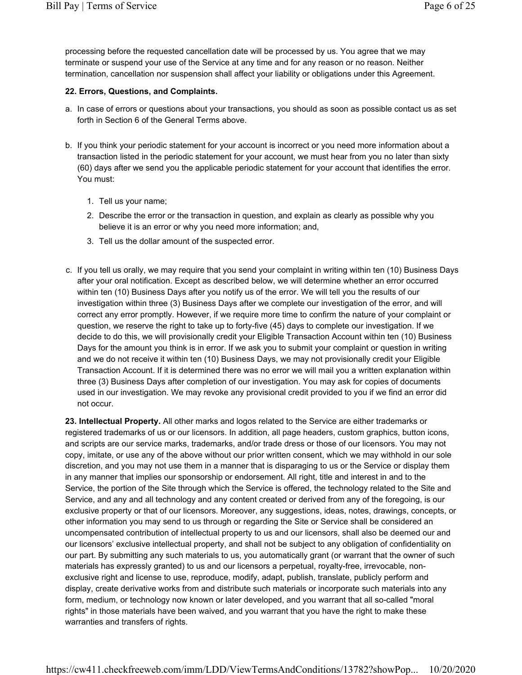processing before the requested cancellation date will be processed by us. You agree that we may terminate or suspend your use of the Service at any time and for any reason or no reason. Neither termination, cancellation nor suspension shall affect your liability or obligations under this Agreement.

#### 22. Errors, Questions, and Complaints.

- a. In case of errors or questions about your transactions, you should as soon as possible contact us as set forth in Section 6 of the General Terms above.
- b. If you think your periodic statement for your account is incorrect or you need more information about a transaction listed in the periodic statement for your account, we must hear from you no later than sixty (60) days after we send you the applicable periodic statement for your account that identifies the error. You must:
	- 1. Tell us your name;
	- 2. Describe the error or the transaction in question, and explain as clearly as possible why you believe it is an error or why you need more information; and,
	- 3. Tell us the dollar amount of the suspected error.
- c. If you tell us orally, we may require that you send your complaint in writing within ten (10) Business Days after your oral notification. Except as described below, we will determine whether an error occurred within ten (10) Business Days after you notify us of the error. We will tell you the results of our investigation within three (3) Business Days after we complete our investigation of the error, and will correct any error promptly. However, if we require more time to confirm the nature of your complaint or question, we reserve the right to take up to forty-five (45) days to complete our investigation. If we decide to do this, we will provisionally credit your Eligible Transaction Account within ten (10) Business Days for the amount you think is in error. If we ask you to submit your complaint or question in writing and we do not receive it within ten (10) Business Days, we may not provisionally credit your Eligible Transaction Account. If it is determined there was no error we will mail you a written explanation within three (3) Business Days after completion of our investigation. You may ask for copies of documents used in our investigation. We may revoke any provisional credit provided to you if we find an error did not occur.

23. Intellectual Property. All other marks and logos related to the Service are either trademarks or registered trademarks of us or our licensors. In addition, all page headers, custom graphics, button icons, and scripts are our service marks, trademarks, and/or trade dress or those of our licensors. You may not copy, imitate, or use any of the above without our prior written consent, which we may withhold in our sole discretion, and you may not use them in a manner that is disparaging to us or the Service or display them in any manner that implies our sponsorship or endorsement. All right, title and interest in and to the Service, the portion of the Site through which the Service is offered, the technology related to the Site and Service, and any and all technology and any content created or derived from any of the foregoing, is our exclusive property or that of our licensors. Moreover, any suggestions, ideas, notes, drawings, concepts, or other information you may send to us through or regarding the Site or Service shall be considered an uncompensated contribution of intellectual property to us and our licensors, shall also be deemed our and our licensors' exclusive intellectual property, and shall not be subject to any obligation of confidentiality on our part. By submitting any such materials to us, you automatically grant (or warrant that the owner of such materials has expressly granted) to us and our licensors a perpetual, royalty-free, irrevocable, nonexclusive right and license to use, reproduce, modify, adapt, publish, translate, publicly perform and display, create derivative works from and distribute such materials or incorporate such materials into any form, medium, or technology now known or later developed, and you warrant that all so-called "moral rights" in those materials have been waived, and you warrant that you have the right to make these warranties and transfers of rights.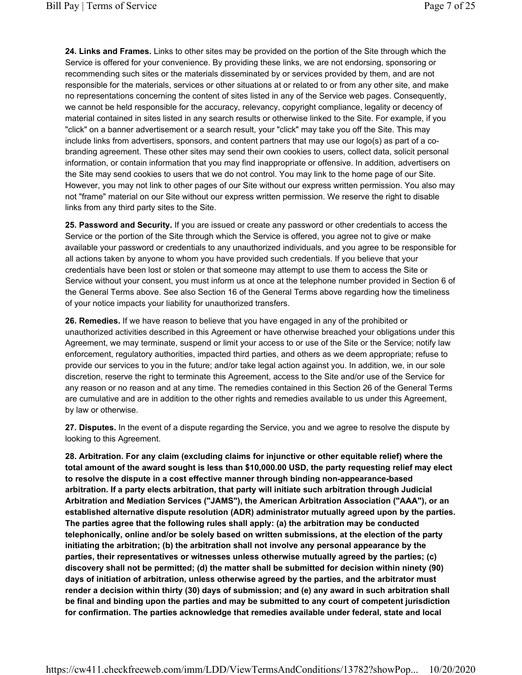24. Links and Frames. Links to other sites may be provided on the portion of the Site through which the Service is offered for your convenience. By providing these links, we are not endorsing, sponsoring or recommending such sites or the materials disseminated by or services provided by them, and are not responsible for the materials, services or other situations at or related to or from any other site, and make no representations concerning the content of sites listed in any of the Service web pages. Consequently, we cannot be held responsible for the accuracy, relevancy, copyright compliance, legality or decency of material contained in sites listed in any search results or otherwise linked to the Site. For example, if you "click" on a banner advertisement or a search result, your "click" may take you off the Site. This may include links from advertisers, sponsors, and content partners that may use our logo(s) as part of a cobranding agreement. These other sites may send their own cookies to users, collect data, solicit personal information, or contain information that you may find inappropriate or offensive. In addition, advertisers on the Site may send cookies to users that we do not control. You may link to the home page of our Site. However, you may not link to other pages of our Site without our express written permission. You also may not "frame" material on our Site without our express written permission. We reserve the right to disable links from any third party sites to the Site.

25. Password and Security. If you are issued or create any password or other credentials to access the Service or the portion of the Site through which the Service is offered, you agree not to give or make available your password or credentials to any unauthorized individuals, and you agree to be responsible for all actions taken by anyone to whom you have provided such credentials. If you believe that your credentials have been lost or stolen or that someone may attempt to use them to access the Site or Service without your consent, you must inform us at once at the telephone number provided in Section 6 of the General Terms above. See also Section 16 of the General Terms above regarding how the timeliness of your notice impacts your liability for unauthorized transfers.

26. Remedies. If we have reason to believe that you have engaged in any of the prohibited or unauthorized activities described in this Agreement or have otherwise breached your obligations under this Agreement, we may terminate, suspend or limit your access to or use of the Site or the Service; notify law enforcement, regulatory authorities, impacted third parties, and others as we deem appropriate; refuse to provide our services to you in the future; and/or take legal action against you. In addition, we, in our sole discretion, reserve the right to terminate this Agreement, access to the Site and/or use of the Service for any reason or no reason and at any time. The remedies contained in this Section 26 of the General Terms are cumulative and are in addition to the other rights and remedies available to us under this Agreement, by law or otherwise.

27. Disputes. In the event of a dispute regarding the Service, you and we agree to resolve the dispute by looking to this Agreement.

28. Arbitration. For any claim (excluding claims for injunctive or other equitable relief) where the total amount of the award sought is less than \$10,000.00 USD, the party requesting relief may elect to resolve the dispute in a cost effective manner through binding non-appearance-based arbitration. If a party elects arbitration, that party will initiate such arbitration through Judicial Arbitration and Mediation Services ("JAMS"), the American Arbitration Association ("AAA"), or an established alternative dispute resolution (ADR) administrator mutually agreed upon by the parties. The parties agree that the following rules shall apply: (a) the arbitration may be conducted telephonically, online and/or be solely based on written submissions, at the election of the party initiating the arbitration; (b) the arbitration shall not involve any personal appearance by the parties, their representatives or witnesses unless otherwise mutually agreed by the parties; (c) discovery shall not be permitted; (d) the matter shall be submitted for decision within ninety (90) days of initiation of arbitration, unless otherwise agreed by the parties, and the arbitrator must render a decision within thirty (30) days of submission; and (e) any award in such arbitration shall be final and binding upon the parties and may be submitted to any court of competent jurisdiction for confirmation. The parties acknowledge that remedies available under federal, state and local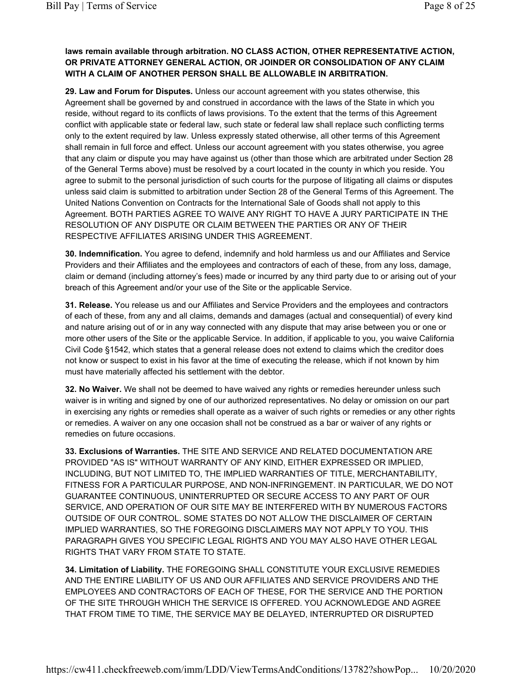# laws remain available through arbitration. NO CLASS ACTION, OTHER REPRESENTATIVE ACTION, OR PRIVATE ATTORNEY GENERAL ACTION, OR JOINDER OR CONSOLIDATION OF ANY CLAIM WITH A CLAIM OF ANOTHER PERSON SHALL BE ALLOWABLE IN ARBITRATION.

29. Law and Forum for Disputes. Unless our account agreement with you states otherwise, this Agreement shall be governed by and construed in accordance with the laws of the State in which you reside, without regard to its conflicts of laws provisions. To the extent that the terms of this Agreement conflict with applicable state or federal law, such state or federal law shall replace such conflicting terms only to the extent required by law. Unless expressly stated otherwise, all other terms of this Agreement shall remain in full force and effect. Unless our account agreement with you states otherwise, you agree that any claim or dispute you may have against us (other than those which are arbitrated under Section 28 of the General Terms above) must be resolved by a court located in the county in which you reside. You agree to submit to the personal jurisdiction of such courts for the purpose of litigating all claims or disputes unless said claim is submitted to arbitration under Section 28 of the General Terms of this Agreement. The United Nations Convention on Contracts for the International Sale of Goods shall not apply to this Agreement. BOTH PARTIES AGREE TO WAIVE ANY RIGHT TO HAVE A JURY PARTICIPATE IN THE RESOLUTION OF ANY DISPUTE OR CLAIM BETWEEN THE PARTIES OR ANY OF THEIR RESPECTIVE AFFILIATES ARISING UNDER THIS AGREEMENT.

30. Indemnification. You agree to defend, indemnify and hold harmless us and our Affiliates and Service Providers and their Affiliates and the employees and contractors of each of these, from any loss, damage, claim or demand (including attorney's fees) made or incurred by any third party due to or arising out of your breach of this Agreement and/or your use of the Site or the applicable Service.

31. Release. You release us and our Affiliates and Service Providers and the employees and contractors of each of these, from any and all claims, demands and damages (actual and consequential) of every kind and nature arising out of or in any way connected with any dispute that may arise between you or one or more other users of the Site or the applicable Service. In addition, if applicable to you, you waive California Civil Code §1542, which states that a general release does not extend to claims which the creditor does not know or suspect to exist in his favor at the time of executing the release, which if not known by him must have materially affected his settlement with the debtor.

32. No Waiver. We shall not be deemed to have waived any rights or remedies hereunder unless such waiver is in writing and signed by one of our authorized representatives. No delay or omission on our part in exercising any rights or remedies shall operate as a waiver of such rights or remedies or any other rights or remedies. A waiver on any one occasion shall not be construed as a bar or waiver of any rights or remedies on future occasions.

33. Exclusions of Warranties. THE SITE AND SERVICE AND RELATED DOCUMENTATION ARE PROVIDED "AS IS" WITHOUT WARRANTY OF ANY KIND, EITHER EXPRESSED OR IMPLIED, INCLUDING, BUT NOT LIMITED TO, THE IMPLIED WARRANTIES OF TITLE, MERCHANTABILITY, FITNESS FOR A PARTICULAR PURPOSE, AND NON-INFRINGEMENT. IN PARTICULAR, WE DO NOT GUARANTEE CONTINUOUS, UNINTERRUPTED OR SECURE ACCESS TO ANY PART OF OUR SERVICE, AND OPERATION OF OUR SITE MAY BE INTERFERED WITH BY NUMEROUS FACTORS OUTSIDE OF OUR CONTROL. SOME STATES DO NOT ALLOW THE DISCLAIMER OF CERTAIN IMPLIED WARRANTIES, SO THE FOREGOING DISCLAIMERS MAY NOT APPLY TO YOU. THIS PARAGRAPH GIVES YOU SPECIFIC LEGAL RIGHTS AND YOU MAY ALSO HAVE OTHER LEGAL RIGHTS THAT VARY FROM STATE TO STATE.

34. Limitation of Liability. THE FOREGOING SHALL CONSTITUTE YOUR EXCLUSIVE REMEDIES AND THE ENTIRE LIABILITY OF US AND OUR AFFILIATES AND SERVICE PROVIDERS AND THE EMPLOYEES AND CONTRACTORS OF EACH OF THESE, FOR THE SERVICE AND THE PORTION OF THE SITE THROUGH WHICH THE SERVICE IS OFFERED. YOU ACKNOWLEDGE AND AGREE THAT FROM TIME TO TIME, THE SERVICE MAY BE DELAYED, INTERRUPTED OR DISRUPTED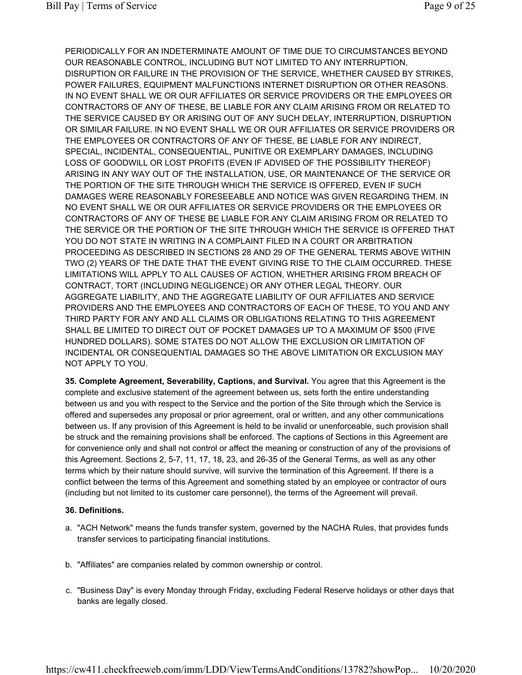PERIODICALLY FOR AN INDETERMINATE AMOUNT OF TIME DUE TO CIRCUMSTANCES BEYOND OUR REASONABLE CONTROL, INCLUDING BUT NOT LIMITED TO ANY INTERRUPTION, DISRUPTION OR FAILURE IN THE PROVISION OF THE SERVICE, WHETHER CAUSED BY STRIKES, POWER FAILURES, EQUIPMENT MALFUNCTIONS INTERNET DISRUPTION OR OTHER REASONS. IN NO EVENT SHALL WE OR OUR AFFILIATES OR SERVICE PROVIDERS OR THE EMPLOYEES OR CONTRACTORS OF ANY OF THESE, BE LIABLE FOR ANY CLAIM ARISING FROM OR RELATED TO THE SERVICE CAUSED BY OR ARISING OUT OF ANY SUCH DELAY, INTERRUPTION, DISRUPTION OR SIMILAR FAILURE. IN NO EVENT SHALL WE OR OUR AFFILIATES OR SERVICE PROVIDERS OR THE EMPLOYEES OR CONTRACTORS OF ANY OF THESE, BE LIABLE FOR ANY INDIRECT, SPECIAL, INCIDENTAL, CONSEQUENTIAL, PUNITIVE OR EXEMPLARY DAMAGES, INCLUDING LOSS OF GOODWILL OR LOST PROFITS (EVEN IF ADVISED OF THE POSSIBILITY THEREOF) ARISING IN ANY WAY OUT OF THE INSTALLATION, USE, OR MAINTENANCE OF THE SERVICE OR THE PORTION OF THE SITE THROUGH WHICH THE SERVICE IS OFFERED, EVEN IF SUCH DAMAGES WERE REASONABLY FORESEEABLE AND NOTICE WAS GIVEN REGARDING THEM. IN NO EVENT SHALL WE OR OUR AFFILIATES OR SERVICE PROVIDERS OR THE EMPLOYEES OR CONTRACTORS OF ANY OF THESE BE LIABLE FOR ANY CLAIM ARISING FROM OR RELATED TO THE SERVICE OR THE PORTION OF THE SITE THROUGH WHICH THE SERVICE IS OFFERED THAT YOU DO NOT STATE IN WRITING IN A COMPLAINT FILED IN A COURT OR ARBITRATION PROCEEDING AS DESCRIBED IN SECTIONS 28 AND 29 OF THE GENERAL TERMS ABOVE WITHIN TWO (2) YEARS OF THE DATE THAT THE EVENT GIVING RISE TO THE CLAIM OCCURRED. THESE LIMITATIONS WILL APPLY TO ALL CAUSES OF ACTION, WHETHER ARISING FROM BREACH OF CONTRACT, TORT (INCLUDING NEGLIGENCE) OR ANY OTHER LEGAL THEORY. OUR AGGREGATE LIABILITY, AND THE AGGREGATE LIABILITY OF OUR AFFILIATES AND SERVICE PROVIDERS AND THE EMPLOYEES AND CONTRACTORS OF EACH OF THESE, TO YOU AND ANY THIRD PARTY FOR ANY AND ALL CLAIMS OR OBLIGATIONS RELATING TO THIS AGREEMENT SHALL BE LIMITED TO DIRECT OUT OF POCKET DAMAGES UP TO A MAXIMUM OF \$500 (FIVE HUNDRED DOLLARS). SOME STATES DO NOT ALLOW THE EXCLUSION OR LIMITATION OF INCIDENTAL OR CONSEQUENTIAL DAMAGES SO THE ABOVE LIMITATION OR EXCLUSION MAY NOT APPLY TO YOU.

35. Complete Agreement, Severability, Captions, and Survival. You agree that this Agreement is the complete and exclusive statement of the agreement between us, sets forth the entire understanding between us and you with respect to the Service and the portion of the Site through which the Service is offered and supersedes any proposal or prior agreement, oral or written, and any other communications between us. If any provision of this Agreement is held to be invalid or unenforceable, such provision shall be struck and the remaining provisions shall be enforced. The captions of Sections in this Agreement are for convenience only and shall not control or affect the meaning or construction of any of the provisions of this Agreement. Sections 2, 5-7, 11, 17, 18, 23, and 26-35 of the General Terms, as well as any other terms which by their nature should survive, will survive the termination of this Agreement. If there is a conflict between the terms of this Agreement and something stated by an employee or contractor of ours (including but not limited to its customer care personnel), the terms of the Agreement will prevail.

#### 36. Definitions.

- a. "ACH Network" means the funds transfer system, governed by the NACHA Rules, that provides funds transfer services to participating financial institutions.
- b. "Affiliates" are companies related by common ownership or control.
- c. "Business Day" is every Monday through Friday, excluding Federal Reserve holidays or other days that banks are legally closed.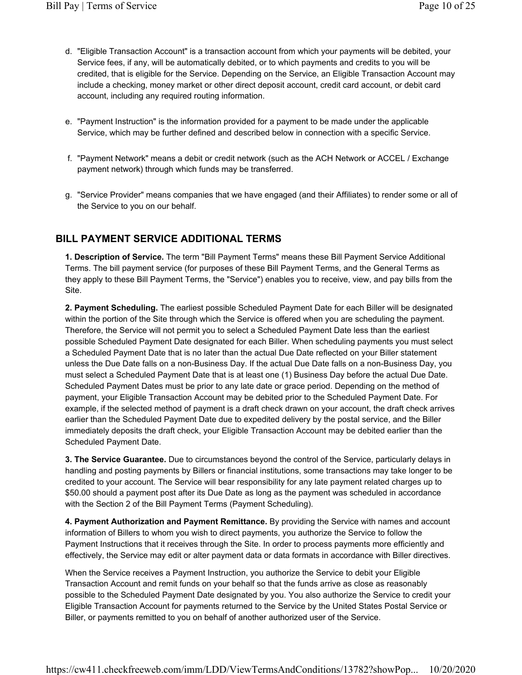- d. "Eligible Transaction Account" is a transaction account from which your payments will be debited, your Service fees, if any, will be automatically debited, or to which payments and credits to you will be credited, that is eligible for the Service. Depending on the Service, an Eligible Transaction Account may include a checking, money market or other direct deposit account, credit card account, or debit card account, including any required routing information.
- e. "Payment Instruction" is the information provided for a payment to be made under the applicable Service, which may be further defined and described below in connection with a specific Service.
- f. "Payment Network" means a debit or credit network (such as the ACH Network or ACCEL / Exchange payment network) through which funds may be transferred.
- g. "Service Provider" means companies that we have engaged (and their Affiliates) to render some or all of the Service to you on our behalf.

# BILL PAYMENT SERVICE ADDITIONAL TERMS

1. Description of Service. The term "Bill Payment Terms" means these Bill Payment Service Additional Terms. The bill payment service (for purposes of these Bill Payment Terms, and the General Terms as they apply to these Bill Payment Terms, the "Service") enables you to receive, view, and pay bills from the Site.

2. Payment Scheduling. The earliest possible Scheduled Payment Date for each Biller will be designated within the portion of the Site through which the Service is offered when you are scheduling the payment. Therefore, the Service will not permit you to select a Scheduled Payment Date less than the earliest possible Scheduled Payment Date designated for each Biller. When scheduling payments you must select a Scheduled Payment Date that is no later than the actual Due Date reflected on your Biller statement unless the Due Date falls on a non-Business Day. If the actual Due Date falls on a non-Business Day, you must select a Scheduled Payment Date that is at least one (1) Business Day before the actual Due Date. Scheduled Payment Dates must be prior to any late date or grace period. Depending on the method of payment, your Eligible Transaction Account may be debited prior to the Scheduled Payment Date. For example, if the selected method of payment is a draft check drawn on your account, the draft check arrives earlier than the Scheduled Payment Date due to expedited delivery by the postal service, and the Biller immediately deposits the draft check, your Eligible Transaction Account may be debited earlier than the Scheduled Payment Date.

3. The Service Guarantee. Due to circumstances beyond the control of the Service, particularly delays in handling and posting payments by Billers or financial institutions, some transactions may take longer to be credited to your account. The Service will bear responsibility for any late payment related charges up to \$50.00 should a payment post after its Due Date as long as the payment was scheduled in accordance with the Section 2 of the Bill Payment Terms (Payment Scheduling).

4. Payment Authorization and Payment Remittance. By providing the Service with names and account information of Billers to whom you wish to direct payments, you authorize the Service to follow the Payment Instructions that it receives through the Site. In order to process payments more efficiently and effectively, the Service may edit or alter payment data or data formats in accordance with Biller directives.

When the Service receives a Payment Instruction, you authorize the Service to debit your Eligible Transaction Account and remit funds on your behalf so that the funds arrive as close as reasonably possible to the Scheduled Payment Date designated by you. You also authorize the Service to credit your Eligible Transaction Account for payments returned to the Service by the United States Postal Service or Biller, or payments remitted to you on behalf of another authorized user of the Service.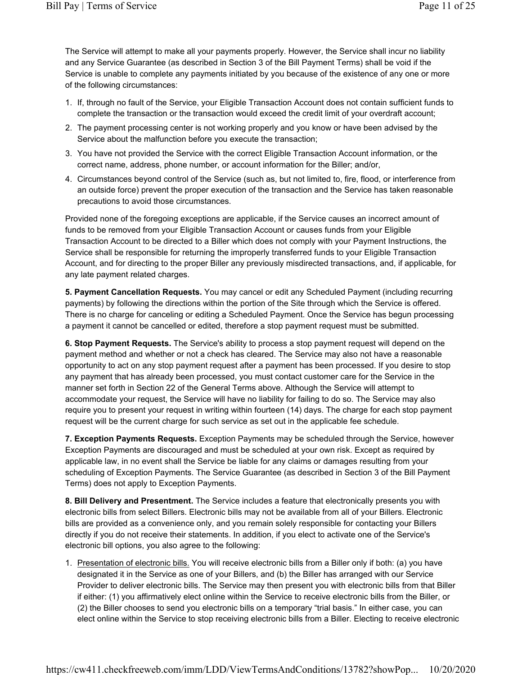The Service will attempt to make all your payments properly. However, the Service shall incur no liability and any Service Guarantee (as described in Section 3 of the Bill Payment Terms) shall be void if the Service is unable to complete any payments initiated by you because of the existence of any one or more of the following circumstances:

- 1. If, through no fault of the Service, your Eligible Transaction Account does not contain sufficient funds to complete the transaction or the transaction would exceed the credit limit of your overdraft account;
- 2. The payment processing center is not working properly and you know or have been advised by the Service about the malfunction before you execute the transaction;
- 3. You have not provided the Service with the correct Eligible Transaction Account information, or the correct name, address, phone number, or account information for the Biller; and/or,
- 4. Circumstances beyond control of the Service (such as, but not limited to, fire, flood, or interference from an outside force) prevent the proper execution of the transaction and the Service has taken reasonable precautions to avoid those circumstances.

Provided none of the foregoing exceptions are applicable, if the Service causes an incorrect amount of funds to be removed from your Eligible Transaction Account or causes funds from your Eligible Transaction Account to be directed to a Biller which does not comply with your Payment Instructions, the Service shall be responsible for returning the improperly transferred funds to your Eligible Transaction Account, and for directing to the proper Biller any previously misdirected transactions, and, if applicable, for any late payment related charges.

5. Payment Cancellation Requests. You may cancel or edit any Scheduled Payment (including recurring payments) by following the directions within the portion of the Site through which the Service is offered. There is no charge for canceling or editing a Scheduled Payment. Once the Service has begun processing a payment it cannot be cancelled or edited, therefore a stop payment request must be submitted.

6. Stop Payment Requests. The Service's ability to process a stop payment request will depend on the payment method and whether or not a check has cleared. The Service may also not have a reasonable opportunity to act on any stop payment request after a payment has been processed. If you desire to stop any payment that has already been processed, you must contact customer care for the Service in the manner set forth in Section 22 of the General Terms above. Although the Service will attempt to accommodate your request, the Service will have no liability for failing to do so. The Service may also require you to present your request in writing within fourteen (14) days. The charge for each stop payment request will be the current charge for such service as set out in the applicable fee schedule.

7. Exception Payments Requests. Exception Payments may be scheduled through the Service, however Exception Payments are discouraged and must be scheduled at your own risk. Except as required by applicable law, in no event shall the Service be liable for any claims or damages resulting from your scheduling of Exception Payments. The Service Guarantee (as described in Section 3 of the Bill Payment Terms) does not apply to Exception Payments.

8. Bill Delivery and Presentment. The Service includes a feature that electronically presents you with electronic bills from select Billers. Electronic bills may not be available from all of your Billers. Electronic bills are provided as a convenience only, and you remain solely responsible for contacting your Billers directly if you do not receive their statements. In addition, if you elect to activate one of the Service's electronic bill options, you also agree to the following:

1. Presentation of electronic bills. You will receive electronic bills from a Biller only if both: (a) you have designated it in the Service as one of your Billers, and (b) the Biller has arranged with our Service Provider to deliver electronic bills. The Service may then present you with electronic bills from that Biller if either: (1) you affirmatively elect online within the Service to receive electronic bills from the Biller, or (2) the Biller chooses to send you electronic bills on a temporary "trial basis." In either case, you can elect online within the Service to stop receiving electronic bills from a Biller. Electing to receive electronic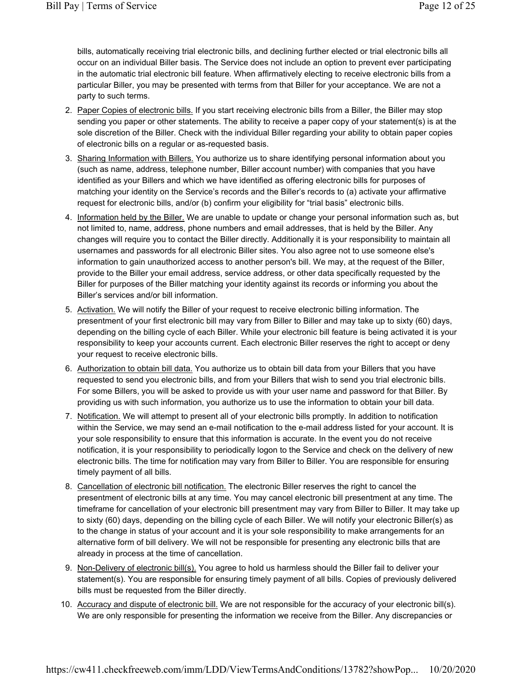bills, automatically receiving trial electronic bills, and declining further elected or trial electronic bills all occur on an individual Biller basis. The Service does not include an option to prevent ever participating in the automatic trial electronic bill feature. When affirmatively electing to receive electronic bills from a particular Biller, you may be presented with terms from that Biller for your acceptance. We are not a party to such terms.

- 2. Paper Copies of electronic bills. If you start receiving electronic bills from a Biller, the Biller may stop sending you paper or other statements. The ability to receive a paper copy of your statement(s) is at the sole discretion of the Biller. Check with the individual Biller regarding your ability to obtain paper copies of electronic bills on a regular or as-requested basis.
- 3. Sharing Information with Billers. You authorize us to share identifying personal information about you (such as name, address, telephone number, Biller account number) with companies that you have identified as your Billers and which we have identified as offering electronic bills for purposes of matching your identity on the Service's records and the Biller's records to (a) activate your affirmative request for electronic bills, and/or (b) confirm your eligibility for "trial basis" electronic bills.
- 4. Information held by the Biller. We are unable to update or change your personal information such as, but not limited to, name, address, phone numbers and email addresses, that is held by the Biller. Any changes will require you to contact the Biller directly. Additionally it is your responsibility to maintain all usernames and passwords for all electronic Biller sites. You also agree not to use someone else's information to gain unauthorized access to another person's bill. We may, at the request of the Biller, provide to the Biller your email address, service address, or other data specifically requested by the Biller for purposes of the Biller matching your identity against its records or informing you about the Biller's services and/or bill information.
- 5. Activation. We will notify the Biller of your request to receive electronic billing information. The presentment of your first electronic bill may vary from Biller to Biller and may take up to sixty (60) days, depending on the billing cycle of each Biller. While your electronic bill feature is being activated it is your responsibility to keep your accounts current. Each electronic Biller reserves the right to accept or deny your request to receive electronic bills.
- 6. Authorization to obtain bill data. You authorize us to obtain bill data from your Billers that you have requested to send you electronic bills, and from your Billers that wish to send you trial electronic bills. For some Billers, you will be asked to provide us with your user name and password for that Biller. By providing us with such information, you authorize us to use the information to obtain your bill data.
- 7. Notification. We will attempt to present all of your electronic bills promptly. In addition to notification within the Service, we may send an e-mail notification to the e-mail address listed for your account. It is your sole responsibility to ensure that this information is accurate. In the event you do not receive notification, it is your responsibility to periodically logon to the Service and check on the delivery of new electronic bills. The time for notification may vary from Biller to Biller. You are responsible for ensuring timely payment of all bills.
- 8. Cancellation of electronic bill notification. The electronic Biller reserves the right to cancel the presentment of electronic bills at any time. You may cancel electronic bill presentment at any time. The timeframe for cancellation of your electronic bill presentment may vary from Biller to Biller. It may take up to sixty (60) days, depending on the billing cycle of each Biller. We will notify your electronic Biller(s) as to the change in status of your account and it is your sole responsibility to make arrangements for an alternative form of bill delivery. We will not be responsible for presenting any electronic bills that are already in process at the time of cancellation.
- 9. Non-Delivery of electronic bill(s). You agree to hold us harmless should the Biller fail to deliver your statement(s). You are responsible for ensuring timely payment of all bills. Copies of previously delivered bills must be requested from the Biller directly.
- 10. Accuracy and dispute of electronic bill. We are not responsible for the accuracy of your electronic bill(s). We are only responsible for presenting the information we receive from the Biller. Any discrepancies or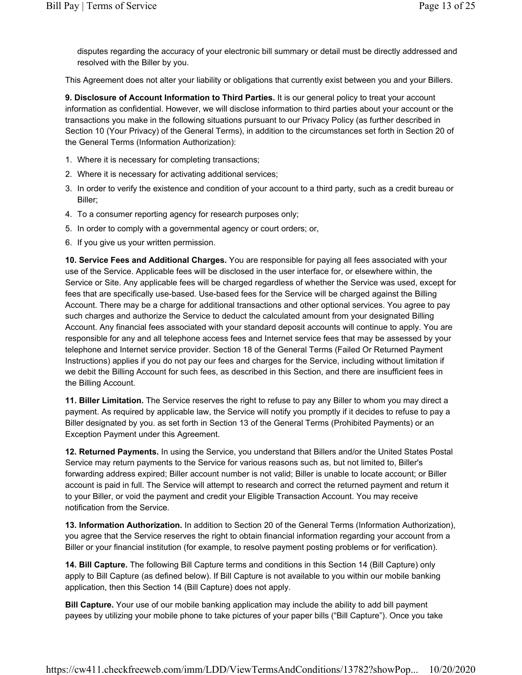disputes regarding the accuracy of your electronic bill summary or detail must be directly addressed and resolved with the Biller by you.

This Agreement does not alter your liability or obligations that currently exist between you and your Billers.

9. Disclosure of Account Information to Third Parties. It is our general policy to treat your account information as confidential. However, we will disclose information to third parties about your account or the transactions you make in the following situations pursuant to our Privacy Policy (as further described in Section 10 (Your Privacy) of the General Terms), in addition to the circumstances set forth in Section 20 of the General Terms (Information Authorization):

- 1. Where it is necessary for completing transactions;
- 2. Where it is necessary for activating additional services;
- 3. In order to verify the existence and condition of your account to a third party, such as a credit bureau or Biller;
- 4. To a consumer reporting agency for research purposes only;
- 5. In order to comply with a governmental agency or court orders; or,
- 6. If you give us your written permission.

10. Service Fees and Additional Charges. You are responsible for paying all fees associated with your use of the Service. Applicable fees will be disclosed in the user interface for, or elsewhere within, the Service or Site. Any applicable fees will be charged regardless of whether the Service was used, except for fees that are specifically use-based. Use-based fees for the Service will be charged against the Billing Account. There may be a charge for additional transactions and other optional services. You agree to pay such charges and authorize the Service to deduct the calculated amount from your designated Billing Account. Any financial fees associated with your standard deposit accounts will continue to apply. You are responsible for any and all telephone access fees and Internet service fees that may be assessed by your telephone and Internet service provider. Section 18 of the General Terms (Failed Or Returned Payment Instructions) applies if you do not pay our fees and charges for the Service, including without limitation if we debit the Billing Account for such fees, as described in this Section, and there are insufficient fees in the Billing Account.

11. Biller Limitation. The Service reserves the right to refuse to pay any Biller to whom you may direct a payment. As required by applicable law, the Service will notify you promptly if it decides to refuse to pay a Biller designated by you. as set forth in Section 13 of the General Terms (Prohibited Payments) or an Exception Payment under this Agreement.

12. Returned Payments. In using the Service, you understand that Billers and/or the United States Postal Service may return payments to the Service for various reasons such as, but not limited to, Biller's forwarding address expired; Biller account number is not valid; Biller is unable to locate account; or Biller account is paid in full. The Service will attempt to research and correct the returned payment and return it to your Biller, or void the payment and credit your Eligible Transaction Account. You may receive notification from the Service.

13. Information Authorization. In addition to Section 20 of the General Terms (Information Authorization), you agree that the Service reserves the right to obtain financial information regarding your account from a Biller or your financial institution (for example, to resolve payment posting problems or for verification).

14. Bill Capture. The following Bill Capture terms and conditions in this Section 14 (Bill Capture) only apply to Bill Capture (as defined below). If Bill Capture is not available to you within our mobile banking application, then this Section 14 (Bill Capture) does not apply.

**Bill Capture.** Your use of our mobile banking application may include the ability to add bill payment payees by utilizing your mobile phone to take pictures of your paper bills ("Bill Capture"). Once you take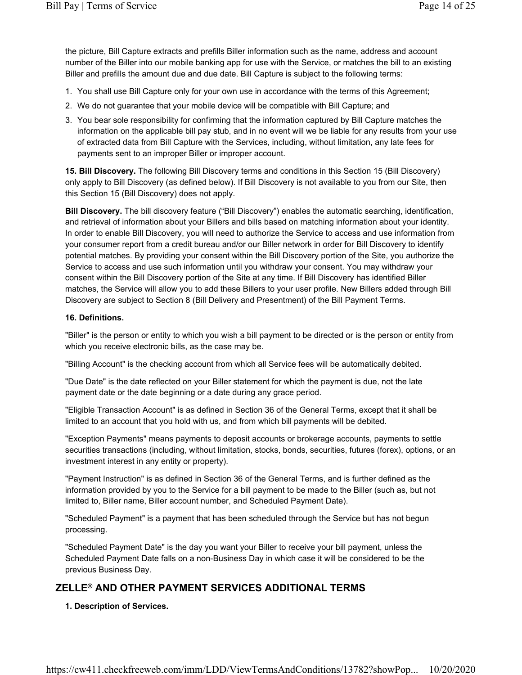the picture, Bill Capture extracts and prefills Biller information such as the name, address and account number of the Biller into our mobile banking app for use with the Service, or matches the bill to an existing Biller and prefills the amount due and due date. Bill Capture is subject to the following terms:

- 1. You shall use Bill Capture only for your own use in accordance with the terms of this Agreement;
- 2. We do not guarantee that your mobile device will be compatible with Bill Capture; and
- 3. You bear sole responsibility for confirming that the information captured by Bill Capture matches the information on the applicable bill pay stub, and in no event will we be liable for any results from your use of extracted data from Bill Capture with the Services, including, without limitation, any late fees for payments sent to an improper Biller or improper account.

15. Bill Discovery. The following Bill Discovery terms and conditions in this Section 15 (Bill Discovery) only apply to Bill Discovery (as defined below). If Bill Discovery is not available to you from our Site, then this Section 15 (Bill Discovery) does not apply.

Bill Discovery. The bill discovery feature ("Bill Discovery") enables the automatic searching, identification, and retrieval of information about your Billers and bills based on matching information about your identity. In order to enable Bill Discovery, you will need to authorize the Service to access and use information from your consumer report from a credit bureau and/or our Biller network in order for Bill Discovery to identify potential matches. By providing your consent within the Bill Discovery portion of the Site, you authorize the Service to access and use such information until you withdraw your consent. You may withdraw your consent within the Bill Discovery portion of the Site at any time. If Bill Discovery has identified Biller matches, the Service will allow you to add these Billers to your user profile. New Billers added through Bill Discovery are subject to Section 8 (Bill Delivery and Presentment) of the Bill Payment Terms.

#### 16. Definitions.

"Biller" is the person or entity to which you wish a bill payment to be directed or is the person or entity from which you receive electronic bills, as the case may be.

"Billing Account" is the checking account from which all Service fees will be automatically debited.

"Due Date" is the date reflected on your Biller statement for which the payment is due, not the late payment date or the date beginning or a date during any grace period.

"Eligible Transaction Account" is as defined in Section 36 of the General Terms, except that it shall be limited to an account that you hold with us, and from which bill payments will be debited.

"Exception Payments" means payments to deposit accounts or brokerage accounts, payments to settle securities transactions (including, without limitation, stocks, bonds, securities, futures (forex), options, or an investment interest in any entity or property).

"Payment Instruction" is as defined in Section 36 of the General Terms, and is further defined as the information provided by you to the Service for a bill payment to be made to the Biller (such as, but not limited to, Biller name, Biller account number, and Scheduled Payment Date).

"Scheduled Payment" is a payment that has been scheduled through the Service but has not begun processing.

"Scheduled Payment Date" is the day you want your Biller to receive your bill payment, unless the Scheduled Payment Date falls on a non-Business Day in which case it will be considered to be the previous Business Day.

# ZELLE® AND OTHER PAYMENT SERVICES ADDITIONAL TERMS

1. Description of Services.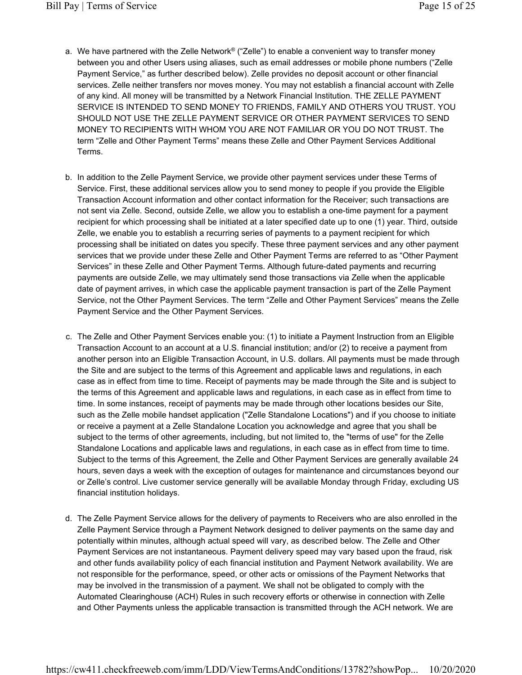- a. We have partnered with the Zelle Network® ("Zelle") to enable a convenient way to transfer money between you and other Users using aliases, such as email addresses or mobile phone numbers ("Zelle Payment Service," as further described below). Zelle provides no deposit account or other financial services. Zelle neither transfers nor moves money. You may not establish a financial account with Zelle of any kind. All money will be transmitted by a Network Financial Institution. THE ZELLE PAYMENT SERVICE IS INTENDED TO SEND MONEY TO FRIENDS, FAMILY AND OTHERS YOU TRUST. YOU SHOULD NOT USE THE ZELLE PAYMENT SERVICE OR OTHER PAYMENT SERVICES TO SEND MONEY TO RECIPIENTS WITH WHOM YOU ARE NOT FAMILIAR OR YOU DO NOT TRUST. The term "Zelle and Other Payment Terms" means these Zelle and Other Payment Services Additional Terms.
- b. In addition to the Zelle Payment Service, we provide other payment services under these Terms of Service. First, these additional services allow you to send money to people if you provide the Eligible Transaction Account information and other contact information for the Receiver; such transactions are not sent via Zelle. Second, outside Zelle, we allow you to establish a one-time payment for a payment recipient for which processing shall be initiated at a later specified date up to one (1) year. Third, outside Zelle, we enable you to establish a recurring series of payments to a payment recipient for which processing shall be initiated on dates you specify. These three payment services and any other payment services that we provide under these Zelle and Other Payment Terms are referred to as "Other Payment Services" in these Zelle and Other Payment Terms. Although future-dated payments and recurring payments are outside Zelle, we may ultimately send those transactions via Zelle when the applicable date of payment arrives, in which case the applicable payment transaction is part of the Zelle Payment Service, not the Other Payment Services. The term "Zelle and Other Payment Services" means the Zelle Payment Service and the Other Payment Services.
- c. The Zelle and Other Payment Services enable you: (1) to initiate a Payment Instruction from an Eligible Transaction Account to an account at a U.S. financial institution; and/or (2) to receive a payment from another person into an Eligible Transaction Account, in U.S. dollars. All payments must be made through the Site and are subject to the terms of this Agreement and applicable laws and regulations, in each case as in effect from time to time. Receipt of payments may be made through the Site and is subject to the terms of this Agreement and applicable laws and regulations, in each case as in effect from time to time. In some instances, receipt of payments may be made through other locations besides our Site, such as the Zelle mobile handset application ("Zelle Standalone Locations") and if you choose to initiate or receive a payment at a Zelle Standalone Location you acknowledge and agree that you shall be subject to the terms of other agreements, including, but not limited to, the "terms of use" for the Zelle Standalone Locations and applicable laws and regulations, in each case as in effect from time to time. Subject to the terms of this Agreement, the Zelle and Other Payment Services are generally available 24 hours, seven days a week with the exception of outages for maintenance and circumstances beyond our or Zelle's control. Live customer service generally will be available Monday through Friday, excluding US financial institution holidays.
- d. The Zelle Payment Service allows for the delivery of payments to Receivers who are also enrolled in the Zelle Payment Service through a Payment Network designed to deliver payments on the same day and potentially within minutes, although actual speed will vary, as described below. The Zelle and Other Payment Services are not instantaneous. Payment delivery speed may vary based upon the fraud, risk and other funds availability policy of each financial institution and Payment Network availability. We are not responsible for the performance, speed, or other acts or omissions of the Payment Networks that may be involved in the transmission of a payment. We shall not be obligated to comply with the Automated Clearinghouse (ACH) Rules in such recovery efforts or otherwise in connection with Zelle and Other Payments unless the applicable transaction is transmitted through the ACH network. We are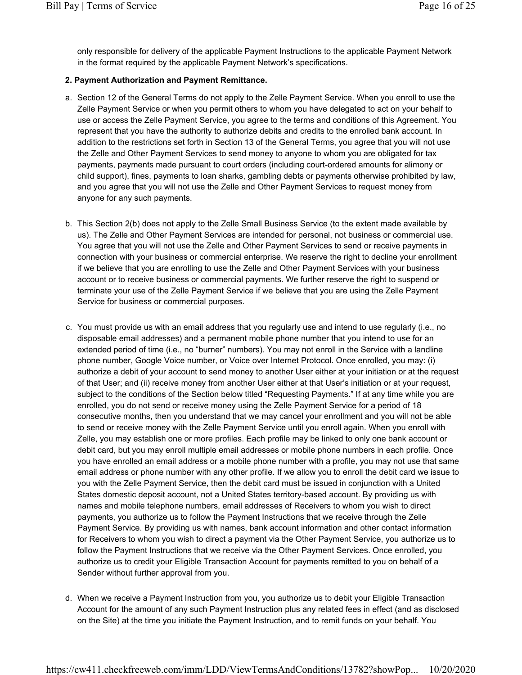only responsible for delivery of the applicable Payment Instructions to the applicable Payment Network in the format required by the applicable Payment Network's specifications.

## 2. Payment Authorization and Payment Remittance.

- a. Section 12 of the General Terms do not apply to the Zelle Payment Service. When you enroll to use the Zelle Payment Service or when you permit others to whom you have delegated to act on your behalf to use or access the Zelle Payment Service, you agree to the terms and conditions of this Agreement. You represent that you have the authority to authorize debits and credits to the enrolled bank account. In addition to the restrictions set forth in Section 13 of the General Terms, you agree that you will not use the Zelle and Other Payment Services to send money to anyone to whom you are obligated for tax payments, payments made pursuant to court orders (including court-ordered amounts for alimony or child support), fines, payments to loan sharks, gambling debts or payments otherwise prohibited by law, and you agree that you will not use the Zelle and Other Payment Services to request money from anyone for any such payments.
- b. This Section 2(b) does not apply to the Zelle Small Business Service (to the extent made available by us). The Zelle and Other Payment Services are intended for personal, not business or commercial use. You agree that you will not use the Zelle and Other Payment Services to send or receive payments in connection with your business or commercial enterprise. We reserve the right to decline your enrollment if we believe that you are enrolling to use the Zelle and Other Payment Services with your business account or to receive business or commercial payments. We further reserve the right to suspend or terminate your use of the Zelle Payment Service if we believe that you are using the Zelle Payment Service for business or commercial purposes.
- c. You must provide us with an email address that you regularly use and intend to use regularly (i.e., no disposable email addresses) and a permanent mobile phone number that you intend to use for an extended period of time (i.e., no "burner" numbers). You may not enroll in the Service with a landline phone number, Google Voice number, or Voice over Internet Protocol. Once enrolled, you may: (i) authorize a debit of your account to send money to another User either at your initiation or at the request of that User; and (ii) receive money from another User either at that User's initiation or at your request, subject to the conditions of the Section below titled "Requesting Payments." If at any time while you are enrolled, you do not send or receive money using the Zelle Payment Service for a period of 18 consecutive months, then you understand that we may cancel your enrollment and you will not be able to send or receive money with the Zelle Payment Service until you enroll again. When you enroll with Zelle, you may establish one or more profiles. Each profile may be linked to only one bank account or debit card, but you may enroll multiple email addresses or mobile phone numbers in each profile. Once you have enrolled an email address or a mobile phone number with a profile, you may not use that same email address or phone number with any other profile. If we allow you to enroll the debit card we issue to you with the Zelle Payment Service, then the debit card must be issued in conjunction with a United States domestic deposit account, not a United States territory-based account. By providing us with names and mobile telephone numbers, email addresses of Receivers to whom you wish to direct payments, you authorize us to follow the Payment Instructions that we receive through the Zelle Payment Service. By providing us with names, bank account information and other contact information for Receivers to whom you wish to direct a payment via the Other Payment Service, you authorize us to follow the Payment Instructions that we receive via the Other Payment Services. Once enrolled, you authorize us to credit your Eligible Transaction Account for payments remitted to you on behalf of a Sender without further approval from you.
- d. When we receive a Payment Instruction from you, you authorize us to debit your Eligible Transaction Account for the amount of any such Payment Instruction plus any related fees in effect (and as disclosed on the Site) at the time you initiate the Payment Instruction, and to remit funds on your behalf. You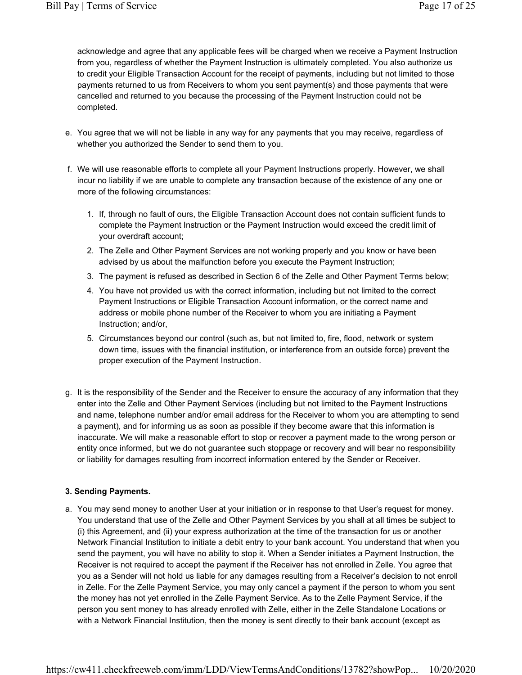acknowledge and agree that any applicable fees will be charged when we receive a Payment Instruction from you, regardless of whether the Payment Instruction is ultimately completed. You also authorize us to credit your Eligible Transaction Account for the receipt of payments, including but not limited to those payments returned to us from Receivers to whom you sent payment(s) and those payments that were cancelled and returned to you because the processing of the Payment Instruction could not be completed.

- e. You agree that we will not be liable in any way for any payments that you may receive, regardless of whether you authorized the Sender to send them to you.
- f. We will use reasonable efforts to complete all your Payment Instructions properly. However, we shall incur no liability if we are unable to complete any transaction because of the existence of any one or more of the following circumstances:
	- 1. If, through no fault of ours, the Eligible Transaction Account does not contain sufficient funds to complete the Payment Instruction or the Payment Instruction would exceed the credit limit of your overdraft account;
	- 2. The Zelle and Other Payment Services are not working properly and you know or have been advised by us about the malfunction before you execute the Payment Instruction;
	- 3. The payment is refused as described in Section 6 of the Zelle and Other Payment Terms below;
	- 4. You have not provided us with the correct information, including but not limited to the correct Payment Instructions or Eligible Transaction Account information, or the correct name and address or mobile phone number of the Receiver to whom you are initiating a Payment Instruction; and/or,
	- 5. Circumstances beyond our control (such as, but not limited to, fire, flood, network or system down time, issues with the financial institution, or interference from an outside force) prevent the proper execution of the Payment Instruction.
- g. It is the responsibility of the Sender and the Receiver to ensure the accuracy of any information that they enter into the Zelle and Other Payment Services (including but not limited to the Payment Instructions and name, telephone number and/or email address for the Receiver to whom you are attempting to send a payment), and for informing us as soon as possible if they become aware that this information is inaccurate. We will make a reasonable effort to stop or recover a payment made to the wrong person or entity once informed, but we do not guarantee such stoppage or recovery and will bear no responsibility or liability for damages resulting from incorrect information entered by the Sender or Receiver.

# 3. Sending Payments.

a. You may send money to another User at your initiation or in response to that User's request for money. You understand that use of the Zelle and Other Payment Services by you shall at all times be subject to (i) this Agreement, and (ii) your express authorization at the time of the transaction for us or another Network Financial Institution to initiate a debit entry to your bank account. You understand that when you send the payment, you will have no ability to stop it. When a Sender initiates a Payment Instruction, the Receiver is not required to accept the payment if the Receiver has not enrolled in Zelle. You agree that you as a Sender will not hold us liable for any damages resulting from a Receiver's decision to not enroll in Zelle. For the Zelle Payment Service, you may only cancel a payment if the person to whom you sent the money has not yet enrolled in the Zelle Payment Service. As to the Zelle Payment Service, if the person you sent money to has already enrolled with Zelle, either in the Zelle Standalone Locations or with a Network Financial Institution, then the money is sent directly to their bank account (except as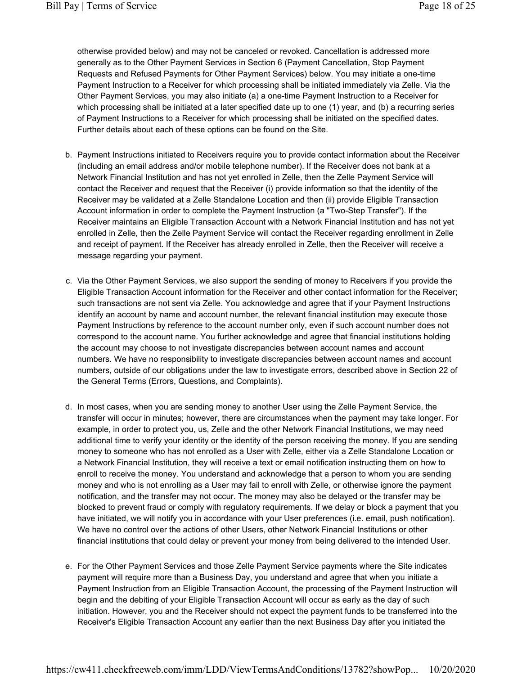otherwise provided below) and may not be canceled or revoked. Cancellation is addressed more generally as to the Other Payment Services in Section 6 (Payment Cancellation, Stop Payment Requests and Refused Payments for Other Payment Services) below. You may initiate a one-time Payment Instruction to a Receiver for which processing shall be initiated immediately via Zelle. Via the Other Payment Services, you may also initiate (a) a one-time Payment Instruction to a Receiver for which processing shall be initiated at a later specified date up to one (1) year, and (b) a recurring series of Payment Instructions to a Receiver for which processing shall be initiated on the specified dates. Further details about each of these options can be found on the Site.

- b. Payment Instructions initiated to Receivers require you to provide contact information about the Receiver (including an email address and/or mobile telephone number). If the Receiver does not bank at a Network Financial Institution and has not yet enrolled in Zelle, then the Zelle Payment Service will contact the Receiver and request that the Receiver (i) provide information so that the identity of the Receiver may be validated at a Zelle Standalone Location and then (ii) provide Eligible Transaction Account information in order to complete the Payment Instruction (a "Two-Step Transfer"). If the Receiver maintains an Eligible Transaction Account with a Network Financial Institution and has not yet enrolled in Zelle, then the Zelle Payment Service will contact the Receiver regarding enrollment in Zelle and receipt of payment. If the Receiver has already enrolled in Zelle, then the Receiver will receive a message regarding your payment.
- c. Via the Other Payment Services, we also support the sending of money to Receivers if you provide the Eligible Transaction Account information for the Receiver and other contact information for the Receiver; such transactions are not sent via Zelle. You acknowledge and agree that if your Payment Instructions identify an account by name and account number, the relevant financial institution may execute those Payment Instructions by reference to the account number only, even if such account number does not correspond to the account name. You further acknowledge and agree that financial institutions holding the account may choose to not investigate discrepancies between account names and account numbers. We have no responsibility to investigate discrepancies between account names and account numbers, outside of our obligations under the law to investigate errors, described above in Section 22 of the General Terms (Errors, Questions, and Complaints).
- d. In most cases, when you are sending money to another User using the Zelle Payment Service, the transfer will occur in minutes; however, there are circumstances when the payment may take longer. For example, in order to protect you, us, Zelle and the other Network Financial Institutions, we may need additional time to verify your identity or the identity of the person receiving the money. If you are sending money to someone who has not enrolled as a User with Zelle, either via a Zelle Standalone Location or a Network Financial Institution, they will receive a text or email notification instructing them on how to enroll to receive the money. You understand and acknowledge that a person to whom you are sending money and who is not enrolling as a User may fail to enroll with Zelle, or otherwise ignore the payment notification, and the transfer may not occur. The money may also be delayed or the transfer may be blocked to prevent fraud or comply with regulatory requirements. If we delay or block a payment that you have initiated, we will notify you in accordance with your User preferences (i.e. email, push notification). We have no control over the actions of other Users, other Network Financial Institutions or other financial institutions that could delay or prevent your money from being delivered to the intended User.
- e. For the Other Payment Services and those Zelle Payment Service payments where the Site indicates payment will require more than a Business Day, you understand and agree that when you initiate a Payment Instruction from an Eligible Transaction Account, the processing of the Payment Instruction will begin and the debiting of your Eligible Transaction Account will occur as early as the day of such initiation. However, you and the Receiver should not expect the payment funds to be transferred into the Receiver's Eligible Transaction Account any earlier than the next Business Day after you initiated the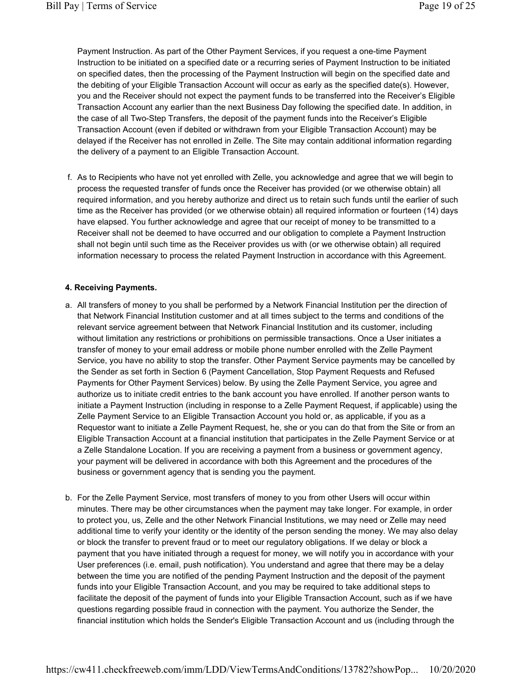Payment Instruction. As part of the Other Payment Services, if you request a one-time Payment Instruction to be initiated on a specified date or a recurring series of Payment Instruction to be initiated on specified dates, then the processing of the Payment Instruction will begin on the specified date and the debiting of your Eligible Transaction Account will occur as early as the specified date(s). However, you and the Receiver should not expect the payment funds to be transferred into the Receiver's Eligible Transaction Account any earlier than the next Business Day following the specified date. In addition, in the case of all Two-Step Transfers, the deposit of the payment funds into the Receiver's Eligible Transaction Account (even if debited or withdrawn from your Eligible Transaction Account) may be delayed if the Receiver has not enrolled in Zelle. The Site may contain additional information regarding the delivery of a payment to an Eligible Transaction Account.

f. As to Recipients who have not yet enrolled with Zelle, you acknowledge and agree that we will begin to process the requested transfer of funds once the Receiver has provided (or we otherwise obtain) all required information, and you hereby authorize and direct us to retain such funds until the earlier of such time as the Receiver has provided (or we otherwise obtain) all required information or fourteen (14) days have elapsed. You further acknowledge and agree that our receipt of money to be transmitted to a Receiver shall not be deemed to have occurred and our obligation to complete a Payment Instruction shall not begin until such time as the Receiver provides us with (or we otherwise obtain) all required information necessary to process the related Payment Instruction in accordance with this Agreement.

#### 4. Receiving Payments.

- a. All transfers of money to you shall be performed by a Network Financial Institution per the direction of that Network Financial Institution customer and at all times subject to the terms and conditions of the relevant service agreement between that Network Financial Institution and its customer, including without limitation any restrictions or prohibitions on permissible transactions. Once a User initiates a transfer of money to your email address or mobile phone number enrolled with the Zelle Payment Service, you have no ability to stop the transfer. Other Payment Service payments may be cancelled by the Sender as set forth in Section 6 (Payment Cancellation, Stop Payment Requests and Refused Payments for Other Payment Services) below. By using the Zelle Payment Service, you agree and authorize us to initiate credit entries to the bank account you have enrolled. If another person wants to initiate a Payment Instruction (including in response to a Zelle Payment Request, if applicable) using the Zelle Payment Service to an Eligible Transaction Account you hold or, as applicable, if you as a Requestor want to initiate a Zelle Payment Request, he, she or you can do that from the Site or from an Eligible Transaction Account at a financial institution that participates in the Zelle Payment Service or at a Zelle Standalone Location. If you are receiving a payment from a business or government agency, your payment will be delivered in accordance with both this Agreement and the procedures of the business or government agency that is sending you the payment.
- b. For the Zelle Payment Service, most transfers of money to you from other Users will occur within minutes. There may be other circumstances when the payment may take longer. For example, in order to protect you, us, Zelle and the other Network Financial Institutions, we may need or Zelle may need additional time to verify your identity or the identity of the person sending the money. We may also delay or block the transfer to prevent fraud or to meet our regulatory obligations. If we delay or block a payment that you have initiated through a request for money, we will notify you in accordance with your User preferences (i.e. email, push notification). You understand and agree that there may be a delay between the time you are notified of the pending Payment Instruction and the deposit of the payment funds into your Eligible Transaction Account, and you may be required to take additional steps to facilitate the deposit of the payment of funds into your Eligible Transaction Account, such as if we have questions regarding possible fraud in connection with the payment. You authorize the Sender, the financial institution which holds the Sender's Eligible Transaction Account and us (including through the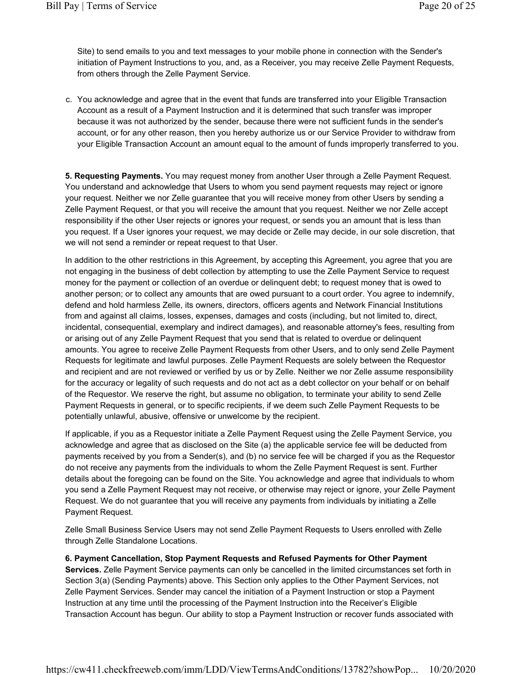Site) to send emails to you and text messages to your mobile phone in connection with the Sender's initiation of Payment Instructions to you, and, as a Receiver, you may receive Zelle Payment Requests, from others through the Zelle Payment Service.

c. You acknowledge and agree that in the event that funds are transferred into your Eligible Transaction Account as a result of a Payment Instruction and it is determined that such transfer was improper because it was not authorized by the sender, because there were not sufficient funds in the sender's account, or for any other reason, then you hereby authorize us or our Service Provider to withdraw from your Eligible Transaction Account an amount equal to the amount of funds improperly transferred to you.

5. Requesting Payments. You may request money from another User through a Zelle Payment Request. You understand and acknowledge that Users to whom you send payment requests may reject or ignore your request. Neither we nor Zelle guarantee that you will receive money from other Users by sending a Zelle Payment Request, or that you will receive the amount that you request. Neither we nor Zelle accept responsibility if the other User rejects or ignores your request, or sends you an amount that is less than you request. If a User ignores your request, we may decide or Zelle may decide, in our sole discretion, that we will not send a reminder or repeat request to that User.

In addition to the other restrictions in this Agreement, by accepting this Agreement, you agree that you are not engaging in the business of debt collection by attempting to use the Zelle Payment Service to request money for the payment or collection of an overdue or delinquent debt; to request money that is owed to another person; or to collect any amounts that are owed pursuant to a court order. You agree to indemnify, defend and hold harmless Zelle, its owners, directors, officers agents and Network Financial Institutions from and against all claims, losses, expenses, damages and costs (including, but not limited to, direct, incidental, consequential, exemplary and indirect damages), and reasonable attorney's fees, resulting from or arising out of any Zelle Payment Request that you send that is related to overdue or delinquent amounts. You agree to receive Zelle Payment Requests from other Users, and to only send Zelle Payment Requests for legitimate and lawful purposes. Zelle Payment Requests are solely between the Requestor and recipient and are not reviewed or verified by us or by Zelle. Neither we nor Zelle assume responsibility for the accuracy or legality of such requests and do not act as a debt collector on your behalf or on behalf of the Requestor. We reserve the right, but assume no obligation, to terminate your ability to send Zelle Payment Requests in general, or to specific recipients, if we deem such Zelle Payment Requests to be potentially unlawful, abusive, offensive or unwelcome by the recipient.

If applicable, if you as a Requestor initiate a Zelle Payment Request using the Zelle Payment Service, you acknowledge and agree that as disclosed on the Site (a) the applicable service fee will be deducted from payments received by you from a Sender(s), and (b) no service fee will be charged if you as the Requestor do not receive any payments from the individuals to whom the Zelle Payment Request is sent. Further details about the foregoing can be found on the Site. You acknowledge and agree that individuals to whom you send a Zelle Payment Request may not receive, or otherwise may reject or ignore, your Zelle Payment Request. We do not guarantee that you will receive any payments from individuals by initiating a Zelle Payment Request.

Zelle Small Business Service Users may not send Zelle Payment Requests to Users enrolled with Zelle through Zelle Standalone Locations.

6. Payment Cancellation, Stop Payment Requests and Refused Payments for Other Payment Services. Zelle Payment Service payments can only be cancelled in the limited circumstances set forth in Section 3(a) (Sending Payments) above. This Section only applies to the Other Payment Services, not Zelle Payment Services. Sender may cancel the initiation of a Payment Instruction or stop a Payment Instruction at any time until the processing of the Payment Instruction into the Receiver's Eligible Transaction Account has begun. Our ability to stop a Payment Instruction or recover funds associated with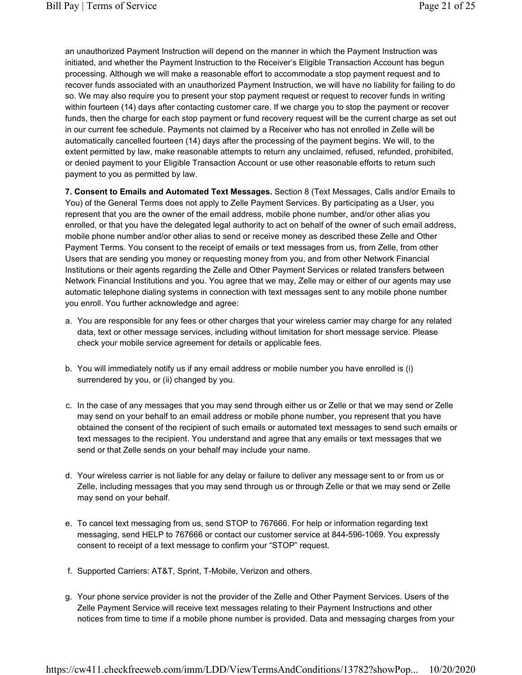an unauthorized Payment Instruction will depend on the manner in which the Payment Instruction was initiated, and whether the Payment Instruction to the Receiver's Eligible Transaction Account has begun processing. Although we will make a reasonable effort to accommodate a stop payment request and to recover funds associated with an unauthorized Payment Instruction, we will have no liability for failing to do so. We may also require you to present your stop payment request or request to recover funds in writing within fourteen (14) days after contacting customer care. If we charge you to stop the payment or recover funds, then the charge for each stop payment or fund recovery request will be the current charge as set out in our current fee schedule. Payments not claimed by a Receiver who has not enrolled in Zelle will be automatically cancelled fourteen (14) days after the processing of the payment begins. We will, to the extent permitted by law, make reasonable attempts to return any unclaimed, refused, refunded, prohibited, or denied payment to your Eligible Transaction Account or use other reasonable efforts to return such payment to you as permitted by law.

7. Consent to Emails and Automated Text Messages. Section 8 (Text Messages, Calls and/or Emails to You) of the General Terms does not apply to Zelle Payment Services. By participating as a User, you represent that you are the owner of the email address, mobile phone number, and/or other alias you enrolled, or that you have the delegated legal authority to act on behalf of the owner of such email address, mobile phone number and/or other alias to send or receive money as described these Zelle and Other Payment Terms. You consent to the receipt of emails or text messages from us, from Zelle, from other Users that are sending you money or requesting money from you, and from other Network Financial Institutions or their agents regarding the Zelle and Other Payment Services or related transfers between Network Financial Institutions and you. You agree that we may, Zelle may or either of our agents may use automatic telephone dialing systems in connection with text messages sent to any mobile phone number you enroll. You further acknowledge and agree:

- a. You are responsible for any fees or other charges that your wireless carrier may charge for any related data, text or other message services, including without limitation for short message service. Please check your mobile service agreement for details or applicable fees.
- b. You will immediately notify us if any email address or mobile number you have enrolled is (i) surrendered by you, or (ii) changed by you.
- c. In the case of any messages that you may send through either us or Zelle or that we may send or Zelle may send on your behalf to an email address or mobile phone number, you represent that you have obtained the consent of the recipient of such emails or automated text messages to send such emails or text messages to the recipient. You understand and agree that any emails or text messages that we send or that Zelle sends on your behalf may include your name.
- d. Your wireless carrier is not liable for any delay or failure to deliver any message sent to or from us or Zelle, including messages that you may send through us or through Zelle or that we may send or Zelle may send on your behalf.
- e. To cancel text messaging from us, send STOP to 767666. For help or information regarding text messaging, send HELP to 767666 or contact our customer service at 844-596-1069. You expressly consent to receipt of a text message to confirm your "STOP" request.
- f. Supported Carriers: AT&T, Sprint, T-Mobile, Verizon and others.
- g. Your phone service provider is not the provider of the Zelle and Other Payment Services. Users of the Zelle Payment Service will receive text messages relating to their Payment Instructions and other notices from time to time if a mobile phone number is provided. Data and messaging charges from your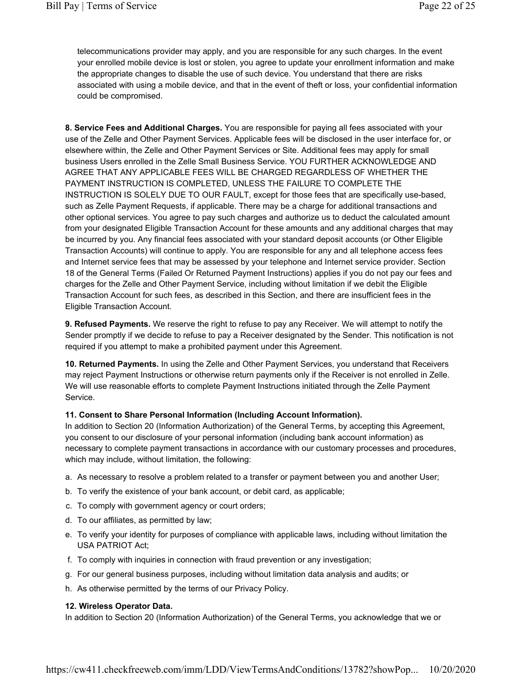telecommunications provider may apply, and you are responsible for any such charges. In the event your enrolled mobile device is lost or stolen, you agree to update your enrollment information and make the appropriate changes to disable the use of such device. You understand that there are risks associated with using a mobile device, and that in the event of theft or loss, your confidential information could be compromised.

8. Service Fees and Additional Charges. You are responsible for paying all fees associated with your use of the Zelle and Other Payment Services. Applicable fees will be disclosed in the user interface for, or elsewhere within, the Zelle and Other Payment Services or Site. Additional fees may apply for small business Users enrolled in the Zelle Small Business Service. YOU FURTHER ACKNOWLEDGE AND AGREE THAT ANY APPLICABLE FEES WILL BE CHARGED REGARDLESS OF WHETHER THE PAYMENT INSTRUCTION IS COMPLETED, UNLESS THE FAILURE TO COMPLETE THE INSTRUCTION IS SOLELY DUE TO OUR FAULT, except for those fees that are specifically use-based, such as Zelle Payment Requests, if applicable. There may be a charge for additional transactions and other optional services. You agree to pay such charges and authorize us to deduct the calculated amount from your designated Eligible Transaction Account for these amounts and any additional charges that may be incurred by you. Any financial fees associated with your standard deposit accounts (or Other Eligible Transaction Accounts) will continue to apply. You are responsible for any and all telephone access fees and Internet service fees that may be assessed by your telephone and Internet service provider. Section 18 of the General Terms (Failed Or Returned Payment Instructions) applies if you do not pay our fees and charges for the Zelle and Other Payment Service, including without limitation if we debit the Eligible Transaction Account for such fees, as described in this Section, and there are insufficient fees in the Eligible Transaction Account.

9. Refused Payments. We reserve the right to refuse to pay any Receiver. We will attempt to notify the Sender promptly if we decide to refuse to pay a Receiver designated by the Sender. This notification is not required if you attempt to make a prohibited payment under this Agreement.

10. Returned Payments. In using the Zelle and Other Payment Services, you understand that Receivers may reject Payment Instructions or otherwise return payments only if the Receiver is not enrolled in Zelle. We will use reasonable efforts to complete Payment Instructions initiated through the Zelle Payment Service.

#### 11. Consent to Share Personal Information (Including Account Information).

In addition to Section 20 (Information Authorization) of the General Terms, by accepting this Agreement, you consent to our disclosure of your personal information (including bank account information) as necessary to complete payment transactions in accordance with our customary processes and procedures, which may include, without limitation, the following:

- a. As necessary to resolve a problem related to a transfer or payment between you and another User;
- b. To verify the existence of your bank account, or debit card, as applicable;
- c. To comply with government agency or court orders;
- d. To our affiliates, as permitted by law;
- e. To verify your identity for purposes of compliance with applicable laws, including without limitation the USA PATRIOT Act;
- f. To comply with inquiries in connection with fraud prevention or any investigation;
- g. For our general business purposes, including without limitation data analysis and audits; or
- h. As otherwise permitted by the terms of our Privacy Policy.

#### 12. Wireless Operator Data.

In addition to Section 20 (Information Authorization) of the General Terms, you acknowledge that we or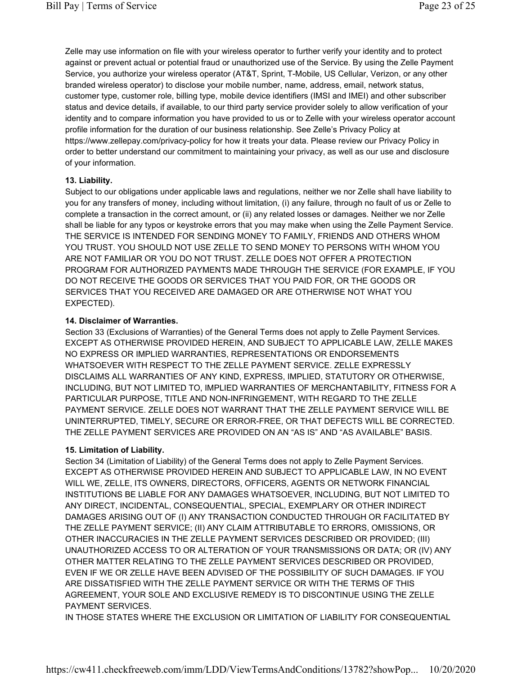Zelle may use information on file with your wireless operator to further verify your identity and to protect against or prevent actual or potential fraud or unauthorized use of the Service. By using the Zelle Payment Service, you authorize your wireless operator (AT&T, Sprint, T-Mobile, US Cellular, Verizon, or any other branded wireless operator) to disclose your mobile number, name, address, email, network status, customer type, customer role, billing type, mobile device identifiers (IMSI and IMEI) and other subscriber status and device details, if available, to our third party service provider solely to allow verification of your identity and to compare information you have provided to us or to Zelle with your wireless operator account profile information for the duration of our business relationship. See Zelle's Privacy Policy at https://www.zellepay.com/privacy-policy for how it treats your data. Please review our Privacy Policy in order to better understand our commitment to maintaining your privacy, as well as our use and disclosure of your information.

## 13. Liability.

Subject to our obligations under applicable laws and regulations, neither we nor Zelle shall have liability to you for any transfers of money, including without limitation, (i) any failure, through no fault of us or Zelle to complete a transaction in the correct amount, or (ii) any related losses or damages. Neither we nor Zelle shall be liable for any typos or keystroke errors that you may make when using the Zelle Payment Service. THE SERVICE IS INTENDED FOR SENDING MONEY TO FAMILY, FRIENDS AND OTHERS WHOM YOU TRUST. YOU SHOULD NOT USE ZELLE TO SEND MONEY TO PERSONS WITH WHOM YOU ARE NOT FAMILIAR OR YOU DO NOT TRUST. ZELLE DOES NOT OFFER A PROTECTION PROGRAM FOR AUTHORIZED PAYMENTS MADE THROUGH THE SERVICE (FOR EXAMPLE, IF YOU DO NOT RECEIVE THE GOODS OR SERVICES THAT YOU PAID FOR, OR THE GOODS OR SERVICES THAT YOU RECEIVED ARE DAMAGED OR ARE OTHERWISE NOT WHAT YOU EXPECTED).

# 14. Disclaimer of Warranties.

Section 33 (Exclusions of Warranties) of the General Terms does not apply to Zelle Payment Services. EXCEPT AS OTHERWISE PROVIDED HEREIN, AND SUBJECT TO APPLICABLE LAW, ZELLE MAKES NO EXPRESS OR IMPLIED WARRANTIES, REPRESENTATIONS OR ENDORSEMENTS WHATSOEVER WITH RESPECT TO THE ZELLE PAYMENT SERVICE. ZELLE EXPRESSLY DISCLAIMS ALL WARRANTIES OF ANY KIND, EXPRESS, IMPLIED, STATUTORY OR OTHERWISE, INCLUDING, BUT NOT LIMITED TO, IMPLIED WARRANTIES OF MERCHANTABILITY, FITNESS FOR A PARTICULAR PURPOSE, TITLE AND NON-INFRINGEMENT, WITH REGARD TO THE ZELLE PAYMENT SERVICE. ZELLE DOES NOT WARRANT THAT THE ZELLE PAYMENT SERVICE WILL BE UNINTERRUPTED, TIMELY, SECURE OR ERROR-FREE, OR THAT DEFECTS WILL BE CORRECTED. THE ZELLE PAYMENT SERVICES ARE PROVIDED ON AN "AS IS" AND "AS AVAILABLE" BASIS.

# 15. Limitation of Liability.

Section 34 (Limitation of Liability) of the General Terms does not apply to Zelle Payment Services. EXCEPT AS OTHERWISE PROVIDED HEREIN AND SUBJECT TO APPLICABLE LAW, IN NO EVENT WILL WE, ZELLE, ITS OWNERS, DIRECTORS, OFFICERS, AGENTS OR NETWORK FINANCIAL INSTITUTIONS BE LIABLE FOR ANY DAMAGES WHATSOEVER, INCLUDING, BUT NOT LIMITED TO ANY DIRECT, INCIDENTAL, CONSEQUENTIAL, SPECIAL, EXEMPLARY OR OTHER INDIRECT DAMAGES ARISING OUT OF (I) ANY TRANSACTION CONDUCTED THROUGH OR FACILITATED BY THE ZELLE PAYMENT SERVICE; (II) ANY CLAIM ATTRIBUTABLE TO ERRORS, OMISSIONS, OR OTHER INACCURACIES IN THE ZELLE PAYMENT SERVICES DESCRIBED OR PROVIDED; (III) UNAUTHORIZED ACCESS TO OR ALTERATION OF YOUR TRANSMISSIONS OR DATA; OR (IV) ANY OTHER MATTER RELATING TO THE ZELLE PAYMENT SERVICES DESCRIBED OR PROVIDED, EVEN IF WE OR ZELLE HAVE BEEN ADVISED OF THE POSSIBILITY OF SUCH DAMAGES. IF YOU ARE DISSATISFIED WITH THE ZELLE PAYMENT SERVICE OR WITH THE TERMS OF THIS AGREEMENT, YOUR SOLE AND EXCLUSIVE REMEDY IS TO DISCONTINUE USING THE ZELLE PAYMENT SERVICES.

IN THOSE STATES WHERE THE EXCLUSION OR LIMITATION OF LIABILITY FOR CONSEQUENTIAL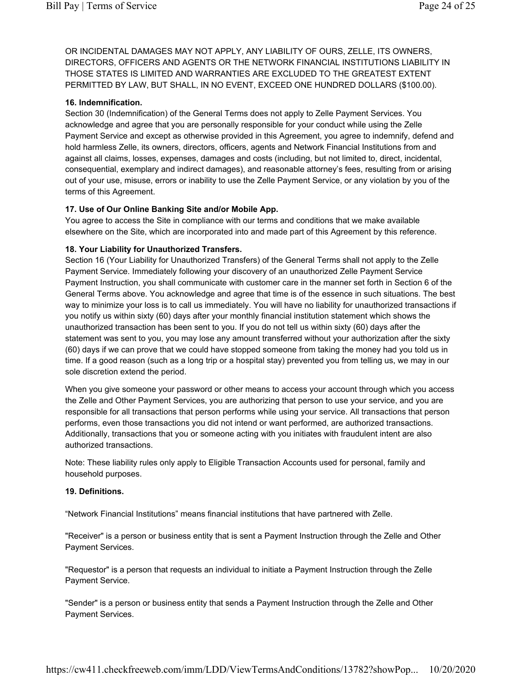OR INCIDENTAL DAMAGES MAY NOT APPLY, ANY LIABILITY OF OURS, ZELLE, ITS OWNERS, DIRECTORS, OFFICERS AND AGENTS OR THE NETWORK FINANCIAL INSTITUTIONS LIABILITY IN THOSE STATES IS LIMITED AND WARRANTIES ARE EXCLUDED TO THE GREATEST EXTENT PERMITTED BY LAW, BUT SHALL, IN NO EVENT, EXCEED ONE HUNDRED DOLLARS (\$100.00).

#### 16. Indemnification.

Section 30 (Indemnification) of the General Terms does not apply to Zelle Payment Services. You acknowledge and agree that you are personally responsible for your conduct while using the Zelle Payment Service and except as otherwise provided in this Agreement, you agree to indemnify, defend and hold harmless Zelle, its owners, directors, officers, agents and Network Financial Institutions from and against all claims, losses, expenses, damages and costs (including, but not limited to, direct, incidental, consequential, exemplary and indirect damages), and reasonable attorney's fees, resulting from or arising out of your use, misuse, errors or inability to use the Zelle Payment Service, or any violation by you of the terms of this Agreement.

#### 17. Use of Our Online Banking Site and/or Mobile App.

You agree to access the Site in compliance with our terms and conditions that we make available elsewhere on the Site, which are incorporated into and made part of this Agreement by this reference.

#### 18. Your Liability for Unauthorized Transfers.

Section 16 (Your Liability for Unauthorized Transfers) of the General Terms shall not apply to the Zelle Payment Service. Immediately following your discovery of an unauthorized Zelle Payment Service Payment Instruction, you shall communicate with customer care in the manner set forth in Section 6 of the General Terms above. You acknowledge and agree that time is of the essence in such situations. The best way to minimize your loss is to call us immediately. You will have no liability for unauthorized transactions if you notify us within sixty (60) days after your monthly financial institution statement which shows the unauthorized transaction has been sent to you. If you do not tell us within sixty (60) days after the statement was sent to you, you may lose any amount transferred without your authorization after the sixty (60) days if we can prove that we could have stopped someone from taking the money had you told us in time. If a good reason (such as a long trip or a hospital stay) prevented you from telling us, we may in our sole discretion extend the period.

When you give someone your password or other means to access your account through which you access the Zelle and Other Payment Services, you are authorizing that person to use your service, and you are responsible for all transactions that person performs while using your service. All transactions that person performs, even those transactions you did not intend or want performed, are authorized transactions. Additionally, transactions that you or someone acting with you initiates with fraudulent intent are also authorized transactions.

Note: These liability rules only apply to Eligible Transaction Accounts used for personal, family and household purposes.

#### 19. Definitions.

"Network Financial Institutions" means financial institutions that have partnered with Zelle.

"Receiver" is a person or business entity that is sent a Payment Instruction through the Zelle and Other Payment Services.

"Requestor" is a person that requests an individual to initiate a Payment Instruction through the Zelle Payment Service.

"Sender" is a person or business entity that sends a Payment Instruction through the Zelle and Other Payment Services.